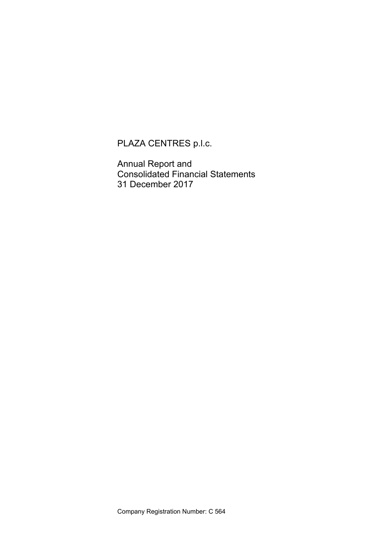PLAZA CENTRES p.l.c.

Annual Report and Consolidated Financial Statements 31 December 2017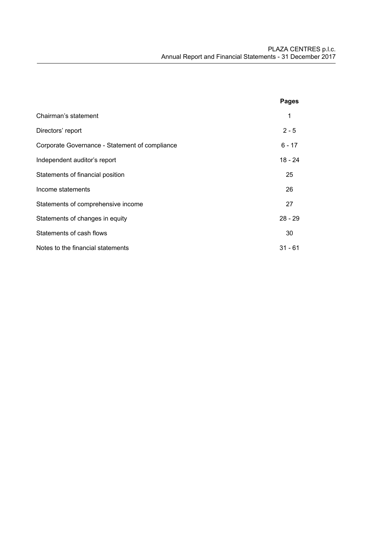|                                                | Pages     |
|------------------------------------------------|-----------|
| Chairman's statement                           | 1         |
| Directors' report                              | $2 - 5$   |
| Corporate Governance - Statement of compliance | $6 - 17$  |
| Independent auditor's report                   | 18 - 24   |
| Statements of financial position               | 25        |
| Income statements                              | 26        |
| Statements of comprehensive income             | 27        |
| Statements of changes in equity                | $28 - 29$ |
| Statements of cash flows                       | 30        |
| Notes to the financial statements              | $31 - 61$ |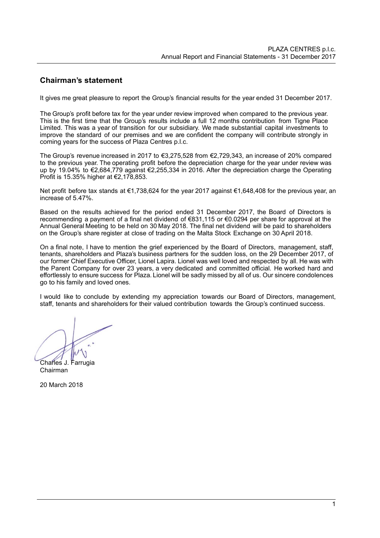# **Chairman's statement**

It gives me great pleasure to report the Group's financial results for the year ended 31 December 2017.

The Group's profit before tax for the year under review improved when compared to the previous year. This is the first time that the Group's results include a full 12 months contribution from Tigne Place Limited. This was a year of transition for our subsidiary. We made substantial capital investments to improve the standard of our premises and we are confident the company will contribute strongly in coming years for the success of Plaza Centres p.l.c.

The Group's revenue increased in 2017 to €3,275,528 from €2,729,343, an increase of 20% compared to the previous year. The operating profit before the depreciation charge for the year under review was up by 19.04% to €2,684,779 against €2,255,334 in 2016. After the depreciation charge the Operating Profit is 15.35% higher at €2,178,853.

Net profit before tax stands at €1,738,624 for the year 2017 against €1,648,408 for the previous year, an increase of 5.47%.

Based on the results achieved for the period ended 31 December 2017, the Board of Directors is recommending a payment of a final net dividend of €831,115 or €0.0294 per share for approval at the Annual General Meeting to be held on 30 May 2018. The final net dividend will be paid to shareholders on the Group's share register at close of trading on the Malta Stock Exchange on 30 April 2018.

On a final note, I have to mention the grief experienced by the Board of Directors, management, staff, tenants, shareholders and Plaza's business partners for the sudden loss, on the 29 December 2017, of our former Chief Executive Officer, Lionel Lapira. Lionel was well loved and respected by all. He was with the Parent Company for over 23 years, a very dedicated and committed official. He worked hard and effortlessly to ensure success for Plaza. Lionel will be sadly missed by all of us. Our sincere condolences go to his family and loved ones.

I would like to conclude by extending my appreciation towards our Board of Directors, management, staff, tenants and shareholders for their valued contribution towards the Group's continued success.

Charles J. Farrugia

Chairman

20 March 2018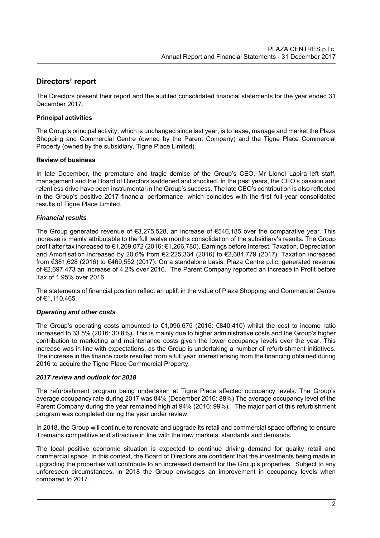# **Directors' report**

The Directors present their report and the audited consolidated financial statements for the year ended 31 December 2017.

# **Principal activities**

The Group's principal activity, which is unchanged since last year, is to lease, manage and market the Plaza Shopping and Commercial Centre (owned by the Parent Company) and the Tigne Place Commercial Property (owned by the subsidiary, Tigne Place Limited).

# **Review of business**

In late December, the premature and tragic demise of the Group's CEO, Mr Lionel Lapira left staff, management and the Board of Directors saddened and shocked. In the past years, the CEO's passion and relentless drive have been instrumental in the Group's success. The late CEO's contribution is also reflected in the Group's positive 2017 financial performance, which coincides with the first full year consolidated results of Tigne Place Limited.

# *Financial results*

The Group generated revenue of €3,275,528, an increase of €546,185 over the comparative year. This increase is mainly attributable to the full twelve months consolidation of the subsidiary's results. The Group profit after tax increased to €1,269,072 (2016: €1,266,780). Earnings before Interest, Taxation, Depreciation and Amortisation increased by 20.6% from €2,225,334 (2016) to €2,684,779 (2017). Taxation increased from €381,628 (2016) to €469,552 (2017). On a standalone basis, Plaza Centre p.l.c. generated revenue of €2,697,473 an increase of 4.2% over 2016. The Parent Company reported an increase in Profit before Tax of 1.95% over 2016.

The statements of financial position reflect an uplift in the value of Plaza Shopping and Commercial Centre of €1,110,465.

## *Operating and other costs*

The Group's operating costs amounted to €1,096,675 (2016: €840,410) whilst the cost to income ratio increased to 33.5% (2016: 30.8%). This is mainly due to higher administrative costs and the Group's higher contribution to marketing and maintenance costs given the lower occupancy levels over the year. This increase was in line with expectations, as the Group is undertaking a number of refurbishment initiatives. The increase in the finance costs resulted from a full year interest arising from the financing obtained during 2016 to acquire the Tigne Place Commercial Property.

## *2017 review and outlook for 2018*

The refurbishment program being undertaken at Tigne Place affected occupancy levels. The Group's average occupancy rate during 2017 was 84% (December 2016: 88%) The average occupancy level of the Parent Company during the year remained high at 94% (2016: 99%). The major part of this refurbishment program was completed during the year under review.

In 2018, the Group will continue to renovate and upgrade its retail and commercial space offering to ensure it remains competitive and attractive in line with the new markets' standards and demands.

The local positive economic situation is expected to continue driving demand for quality retail and commercial space. In this context, the Board of Directors are confident that the investments being made in upgrading the properties will contribute to an increased demand for the Group's properties. Subject to any unforeseen circumstances, in 2018 the Group envisages an improvement in occupancy levels when compared to 2017.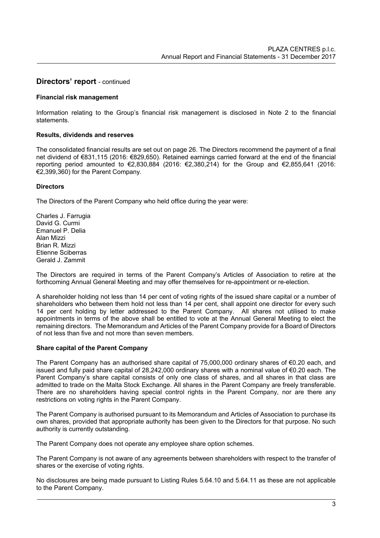# **Directors' report** - continued

#### **Financial risk management**

Information relating to the Group's financial risk management is disclosed in Note 2 to the financial statements.

#### **Results, dividends and reserves**

The consolidated financial results are set out on page 26. The Directors recommend the payment of a final net dividend of €831,115 (2016: €829,650). Retained earnings carried forward at the end of the financial reporting period amounted to €2,830,884 (2016: €2,380,214) for the Group and €2,855,641 (2016: €2,399,360) for the Parent Company.

#### **Directors**

The Directors of the Parent Company who held office during the year were:

Charles J. Farrugia David G. Curmi Emanuel P. Delia Alan Mizzi Brian R. Mizzi Etienne Sciberras Gerald J. Zammit

The Directors are required in terms of the Parent Company's Articles of Association to retire at the forthcoming Annual General Meeting and may offer themselves for re-appointment or re-election.

A shareholder holding not less than 14 per cent of voting rights of the issued share capital or a number of shareholders who between them hold not less than 14 per cent, shall appoint one director for every such 14 per cent holding by letter addressed to the Parent Company. All shares not utilised to make appointments in terms of the above shall be entitled to vote at the Annual General Meeting to elect the remaining directors. The Memorandum and Articles of the Parent Company provide for a Board of Directors of not less than five and not more than seven members.

## **Share capital of the Parent Company**

The Parent Company has an authorised share capital of 75,000,000 ordinary shares of €0.20 each, and issued and fully paid share capital of 28,242,000 ordinary shares with a nominal value of €0.20 each. The Parent Company's share capital consists of only one class of shares, and all shares in that class are admitted to trade on the Malta Stock Exchange. All shares in the Parent Company are freely transferable. There are no shareholders having special control rights in the Parent Company, nor are there any restrictions on voting rights in the Parent Company.

The Parent Company is authorised pursuant to its Memorandum and Articles of Association to purchase its own shares, provided that appropriate authority has been given to the Directors for that purpose. No such authority is currently outstanding.

The Parent Company does not operate any employee share option schemes.

The Parent Company is not aware of any agreements between shareholders with respect to the transfer of shares or the exercise of voting rights.

No disclosures are being made pursuant to Listing Rules 5.64.10 and 5.64.11 as these are not applicable to the Parent Company.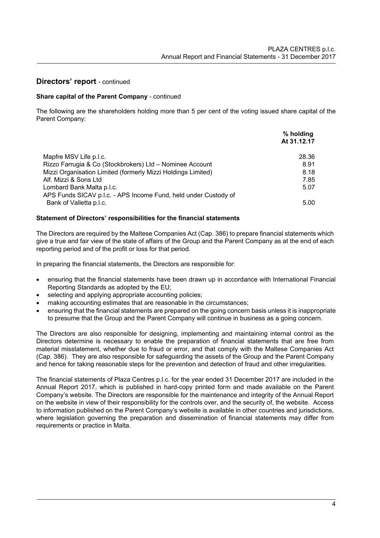# **Directors' report** - continued

# **Share capital of the Parent Company** - continued

The following are the shareholders holding more than 5 per cent of the voting issued share capital of the Parent Company:

|                                                                 | % holding   |
|-----------------------------------------------------------------|-------------|
|                                                                 | At 31.12.17 |
| Mapfre MSV Life p.l.c.                                          | 28.36       |
| Rizzo Farrugia & Co (Stockbrokers) Ltd - Nominee Account        | 8.91        |
| Mizzi Organisation Limited (formerly Mizzi Holdings Limited)    | 8.18        |
| Alf. Mizzi & Sons Ltd                                           | 7.85        |
| Lombard Bank Malta p.l.c.                                       | 5.07        |
| APS Funds SICAV p.l.c. - APS Income Fund, held under Custody of |             |
| Bank of Valletta p.l.c.                                         | 5.00        |

## **Statement of Directors' responsibilities for the financial statements**

The Directors are required by the Maltese Companies Act (Cap. 386) to prepare financial statements which give a true and fair view of the state of affairs of the Group and the Parent Company as at the end of each reporting period and of the profit or loss for that period.

In preparing the financial statements, the Directors are responsible for:

- ensuring that the financial statements have been drawn up in accordance with International Financial Reporting Standards as adopted by the EU;
- selecting and applying appropriate accounting policies;
- making accounting estimates that are reasonable in the circumstances;
- ensuring that the financial statements are prepared on the going concern basis unless it is inappropriate to presume that the Group and the Parent Company will continue in business as a going concern.

The Directors are also responsible for designing, implementing and maintaining internal control as the Directors determine is necessary to enable the preparation of financial statements that are free from material misstatement, whether due to fraud or error, and that comply with the Maltese Companies Act (Cap. 386). They are also responsible for safeguarding the assets of the Group and the Parent Company and hence for taking reasonable steps for the prevention and detection of fraud and other irregularities.

The financial statements of Plaza Centres p.l.c. for the year ended 31 December 2017 are included in the Annual Report 2017, which is published in hard-copy printed form and made available on the Parent Company's website. The Directors are responsible for the maintenance and integrity of the Annual Report on the website in view of their responsibility for the controls over, and the security of, the website. Access to information published on the Parent Company's website is available in other countries and jurisdictions, where legislation governing the preparation and dissemination of financial statements may differ from requirements or practice in Malta.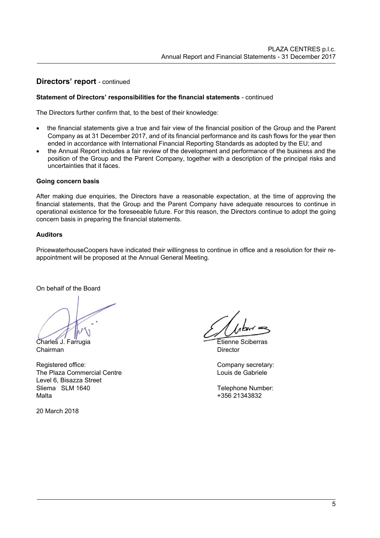# **Directors' report** - continued

# **Statement of Directors' responsibilities for the financial statements** - continued

The Directors further confirm that, to the best of their knowledge:

- the financial statements give a true and fair view of the financial position of the Group and the Parent Company as at 31 December 2017, and of its financial performance and its cash flows for the year then ended in accordance with International Financial Reporting Standards as adopted by the EU; and
- the Annual Report includes a fair review of the development and performance of the business and the position of the Group and the Parent Company, together with a description of the principal risks and uncertainties that it faces.

## **Going concern basis**

After making due enquiries, the Directors have a reasonable expectation, at the time of approving the financial statements, that the Group and the Parent Company have adequate resources to continue in operational existence for the foreseeable future. For this reason, the Directors continue to adopt the going concern basis in preparing the financial statements.

## **Auditors**

PricewaterhouseCoopers have indicated their willingness to continue in office and a resolution for their reappointment will be proposed at the Annual General Meeting.

On behalf of the Board

Charles J. Farrugia **Etienne** Sciberras

Chairman Director

Registered office: Company secretary: Company secretary: The Plaza Commercial Centre Louis de Gabriele Louis de Gabriele Level 6, Bisazza Street Sliema SLM 1640 Telephone Number: Malta +356 21343832

20 March 2018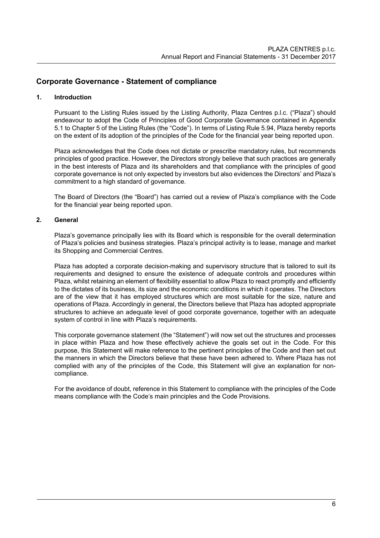# **Corporate Governance - Statement of compliance**

# **1. Introduction**

Pursuant to the Listing Rules issued by the Listing Authority, Plaza Centres p.l.c. ("Plaza") should endeavour to adopt the Code of Principles of Good Corporate Governance contained in Appendix 5.1 to Chapter 5 of the Listing Rules (the "Code"). In terms of Listing Rule 5.94, Plaza hereby reports on the extent of its adoption of the principles of the Code for the financial year being reported upon.

Plaza acknowledges that the Code does not dictate or prescribe mandatory rules, but recommends principles of good practice. However, the Directors strongly believe that such practices are generally in the best interests of Plaza and its shareholders and that compliance with the principles of good corporate governance is not only expected by investors but also evidences the Directors' and Plaza's commitment to a high standard of governance.

The Board of Directors (the "Board") has carried out a review of Plaza's compliance with the Code for the financial year being reported upon.

# **2. General**

Plaza's governance principally lies with its Board which is responsible for the overall determination of Plaza's policies and business strategies. Plaza's principal activity is to lease, manage and market its Shopping and Commercial Centres.

Plaza has adopted a corporate decision-making and supervisory structure that is tailored to suit its requirements and designed to ensure the existence of adequate controls and procedures within Plaza, whilst retaining an element of flexibility essential to allow Plaza to react promptly and efficiently to the dictates of its business, its size and the economic conditions in which it operates. The Directors are of the view that it has employed structures which are most suitable for the size, nature and operations of Plaza. Accordingly in general, the Directors believe that Plaza has adopted appropriate structures to achieve an adequate level of good corporate governance, together with an adequate system of control in line with Plaza's requirements.

This corporate governance statement (the "Statement") will now set out the structures and processes in place within Plaza and how these effectively achieve the goals set out in the Code. For this purpose, this Statement will make reference to the pertinent principles of the Code and then set out the manners in which the Directors believe that these have been adhered to. Where Plaza has not complied with any of the principles of the Code, this Statement will give an explanation for noncompliance.

For the avoidance of doubt, reference in this Statement to compliance with the principles of the Code means compliance with the Code's main principles and the Code Provisions.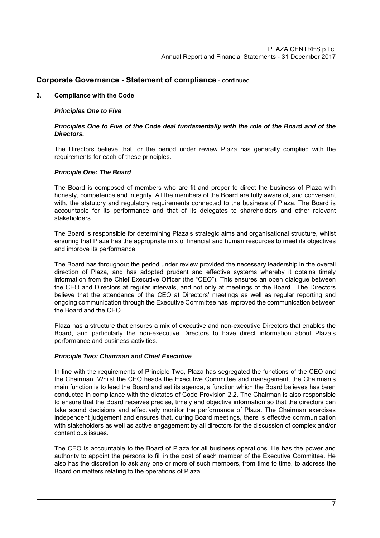## **3. Compliance with the Code**

#### *Principles One to Five*

#### *Principles One to Five of the Code deal fundamentally with the role of the Board and of the Directors.*

The Directors believe that for the period under review Plaza has generally complied with the requirements for each of these principles.

#### *Principle One: The Board*

The Board is composed of members who are fit and proper to direct the business of Plaza with honesty, competence and integrity. All the members of the Board are fully aware of, and conversant with, the statutory and regulatory requirements connected to the business of Plaza. The Board is accountable for its performance and that of its delegates to shareholders and other relevant stakeholders.

The Board is responsible for determining Plaza's strategic aims and organisational structure, whilst ensuring that Plaza has the appropriate mix of financial and human resources to meet its objectives and improve its performance.

The Board has throughout the period under review provided the necessary leadership in the overall direction of Plaza, and has adopted prudent and effective systems whereby it obtains timely information from the Chief Executive Officer (the "CEO"). This ensures an open dialogue between the CEO and Directors at regular intervals, and not only at meetings of the Board. The Directors believe that the attendance of the CEO at Directors' meetings as well as regular reporting and ongoing communication through the Executive Committee has improved the communication between the Board and the CEO.

Plaza has a structure that ensures a mix of executive and non-executive Directors that enables the Board, and particularly the non-executive Directors to have direct information about Plaza's performance and business activities.

#### *Principle Two: Chairman and Chief Executive*

In line with the requirements of Principle Two, Plaza has segregated the functions of the CEO and the Chairman. Whilst the CEO heads the Executive Committee and management, the Chairman's main function is to lead the Board and set its agenda, a function which the Board believes has been conducted in compliance with the dictates of Code Provision 2.2. The Chairman is also responsible to ensure that the Board receives precise, timely and objective information so that the directors can take sound decisions and effectively monitor the performance of Plaza. The Chairman exercises independent judgement and ensures that, during Board meetings, there is effective communication with stakeholders as well as active engagement by all directors for the discussion of complex and/or contentious issues.

The CEO is accountable to the Board of Plaza for all business operations. He has the power and authority to appoint the persons to fill in the post of each member of the Executive Committee. He also has the discretion to ask any one or more of such members, from time to time, to address the Board on matters relating to the operations of Plaza.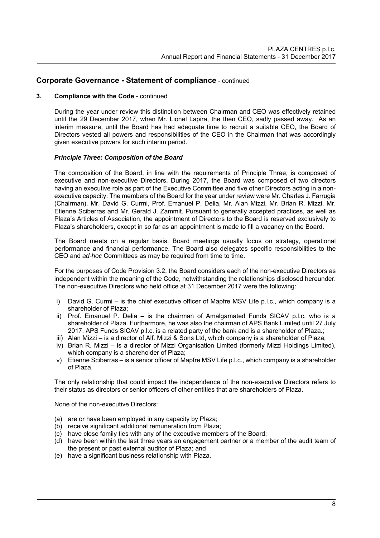#### **3. Compliance with the Code** - continued

During the year under review this distinction between Chairman and CEO was effectively retained until the 29 December 2017, when Mr. Lionel Lapira, the then CEO, sadly passed away. As an interim measure, until the Board has had adequate time to recruit a suitable CEO, the Board of Directors vested all powers and responsibilities of the CEO in the Chairman that was accordingly given executive powers for such interim period.

#### *Principle Three: Composition of the Board*

The composition of the Board, in line with the requirements of Principle Three, is composed of executive and non-executive Directors. During 2017, the Board was composed of two directors having an executive role as part of the Executive Committee and five other Directors acting in a nonexecutive capacity. The members of the Board for the year under review were Mr. Charles J. Farrugia (Chairman), Mr. David G. Curmi, Prof. Emanuel P. Delia, Mr. Alan Mizzi, Mr. Brian R. Mizzi, Mr. Etienne Sciberras and Mr. Gerald J. Zammit. Pursuant to generally accepted practices, as well as Plaza's Articles of Association, the appointment of Directors to the Board is reserved exclusively to Plaza's shareholders, except in so far as an appointment is made to fill a vacancy on the Board.

The Board meets on a regular basis. Board meetings usually focus on strategy, operational performance and financial performance. The Board also delegates specific responsibilities to the CEO and *ad-hoc* Committees as may be required from time to time.

For the purposes of Code Provision 3.2, the Board considers each of the non-executive Directors as independent within the meaning of the Code, notwithstanding the relationships disclosed hereunder. The non-executive Directors who held office at 31 December 2017 were the following:

- i) David G. Curmi is the chief executive officer of Mapfre MSV Life p.l.c., which company is a shareholder of Plaza;
- ii) Prof. Emanuel P. Delia is the chairman of Amalgamated Funds SICAV p.l.c. who is a shareholder of Plaza. Furthermore, he was also the chairman of APS Bank Limited until 27 July 2017. APS Funds SICAV p.l.c. is a related party of the bank and is a shareholder of Plaza.;
- iii) Alan Mizzi is a director of Alf. Mizzi & Sons Ltd, which company is a shareholder of Plaza;
- iv) Brian R. Mizzi is a director of Mizzi Organisation Limited (formerly Mizzi Holdings Limited), which company is a shareholder of Plaza;
- v) Etienne Sciberras is a senior officer of Mapfre MSV Life p.l.c., which company is a shareholder of Plaza.

The only relationship that could impact the independence of the non-executive Directors refers to their status as directors or senior officers of other entities that are shareholders of Plaza.

None of the non-executive Directors:

- (a) are or have been employed in any capacity by Plaza;
- (b) receive significant additional remuneration from Plaza;
- (c) have close family ties with any of the executive members of the Board;
- (d) have been within the last three years an engagement partner or a member of the audit team of the present or past external auditor of Plaza; and
- (e) have a significant business relationship with Plaza.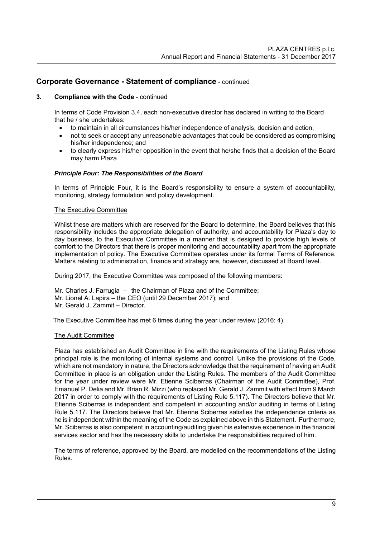## **3. Compliance with the Code** - continued

In terms of Code Provision 3.4, each non-executive director has declared in writing to the Board that he / she undertakes:

- to maintain in all circumstances his/her independence of analysis, decision and action;
- not to seek or accept any unreasonable advantages that could be considered as compromising his/her independence; and
- to clearly express his/her opposition in the event that he/she finds that a decision of the Board may harm Plaza.

## *Principle Four: The Responsibilities of the Board*

In terms of Principle Four, it is the Board's responsibility to ensure a system of accountability, monitoring, strategy formulation and policy development.

## The Executive Committee

Whilst these are matters which are reserved for the Board to determine, the Board believes that this responsibility includes the appropriate delegation of authority, and accountability for Plaza's day to day business, to the Executive Committee in a manner that is designed to provide high levels of comfort to the Directors that there is proper monitoring and accountability apart from the appropriate implementation of policy. The Executive Committee operates under its formal Terms of Reference. Matters relating to administration, finance and strategy are, however, discussed at Board level.

During 2017, the Executive Committee was composed of the following members:

- Mr. Charles J. Farrugia the Chairman of Plaza and of the Committee;
- Mr. Lionel A. Lapira the CEO (until 29 December 2017); and
- Mr. Gerald J. Zammit Director.

The Executive Committee has met 6 times during the year under review (2016: 4).

## The Audit Committee

 Plaza has established an Audit Committee in line with the requirements of the Listing Rules whose principal role is the monitoring of internal systems and control. Unlike the provisions of the Code, which are not mandatory in nature, the Directors acknowledge that the requirement of having an Audit Committee in place is an obligation under the Listing Rules. The members of the Audit Committee for the year under review were Mr. Etienne Sciberras (Chairman of the Audit Committee), Prof. Emanuel P. Delia and Mr. Brian R. Mizzi (who replaced Mr. Gerald J. Zammit with effect from 9 March 2017 in order to comply with the requirements of Listing Rule 5.117). The Directors believe that Mr. Etienne Sciberras is independent and competent in accounting and/or auditing in terms of Listing Rule 5.117. The Directors believe that Mr. Etienne Sciberras satisfies the independence criteria as he is independent within the meaning of the Code as explained above in this Statement. Furthermore, Mr. Sciberras is also competent in accounting/auditing given his extensive experience in the financial services sector and has the necessary skills to undertake the responsibilities required of him.

The terms of reference, approved by the Board, are modelled on the recommendations of the Listing Rules.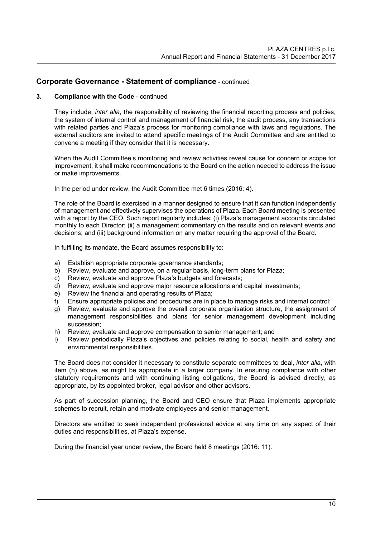# **3. Compliance with the Code** - continued

They include, *inter alia*, the responsibility of reviewing the financial reporting process and policies, the system of internal control and management of financial risk, the audit process, any transactions with related parties and Plaza's process for monitoring compliance with laws and regulations. The external auditors are invited to attend specific meetings of the Audit Committee and are entitled to convene a meeting if they consider that it is necessary.

When the Audit Committee's monitoring and review activities reveal cause for concern or scope for improvement, it shall make recommendations to the Board on the action needed to address the issue or make improvements.

In the period under review, the Audit Committee met 6 times (2016: 4).

The role of the Board is exercised in a manner designed to ensure that it can function independently of management and effectively supervises the operations of Plaza. Each Board meeting is presented with a report by the CEO. Such report regularly includes: (i) Plaza's management accounts circulated monthly to each Director; (ii) a management commentary on the results and on relevant events and decisions; and (iii) background information on any matter requiring the approval of the Board.

In fulfilling its mandate, the Board assumes responsibility to: a) Establish appropriate corporate governance standards;

- b) Review, evaluate and approve, on a regular basis, long-term plans for Plaza;
- c) Review, evaluate and approve Plaza's budgets and forecasts;
- d) Review, evaluate and approve major resource allocations and capital investments;
- e) Review the financial and operating results of Plaza;
- f) Ensure appropriate policies and procedures are in place to manage risks and internal control;
- g) Review, evaluate and approve the overall corporate organisation structure, the assignment of management responsibilities and plans for senior management development including succession;
- h) Review, evaluate and approve compensation to senior management; and
- i) Review periodically Plaza's objectives and policies relating to social, health and safety and environmental responsibilities.

The Board does not consider it necessary to constitute separate committees to deal, *inter alia*, with item (h) above, as might be appropriate in a larger company. In ensuring compliance with other statutory requirements and with continuing listing obligations, the Board is advised directly, as appropriate, by its appointed broker, legal advisor and other advisors.

As part of succession planning, the Board and CEO ensure that Plaza implements appropriate schemes to recruit, retain and motivate employees and senior management.

Directors are entitled to seek independent professional advice at any time on any aspect of their duties and responsibilities, at Plaza's expense.

During the financial year under review, the Board held 8 meetings (2016: 11).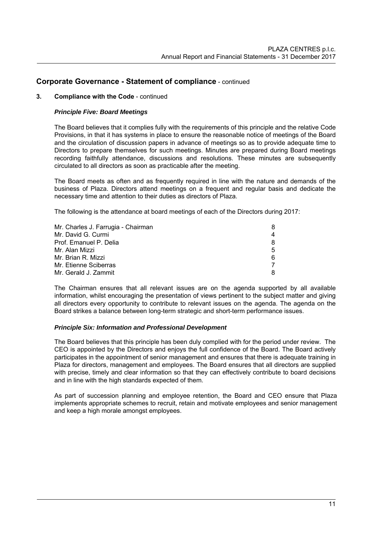# **3. Compliance with the Code** - continued

# *Principle Five: Board Meetings*

The Board believes that it complies fully with the requirements of this principle and the relative Code Provisions, in that it has systems in place to ensure the reasonable notice of meetings of the Board and the circulation of discussion papers in advance of meetings so as to provide adequate time to Directors to prepare themselves for such meetings. Minutes are prepared during Board meetings recording faithfully attendance, discussions and resolutions. These minutes are subsequently circulated to all directors as soon as practicable after the meeting.

The Board meets as often and as frequently required in line with the nature and demands of the business of Plaza. Directors attend meetings on a frequent and regular basis and dedicate the necessary time and attention to their duties as directors of Plaza.

The following is the attendance at board meetings of each of the Directors during 2017:

| Mr. Charles J. Farrugia - Chairman | 8  |
|------------------------------------|----|
| Mr. David G. Curmi                 | 4  |
| Prof. Emanuel P. Delia             | 8  |
| Mr. Alan Mizzi                     | 5. |
| Mr. Brian R. Mizzi                 | 6  |
| Mr. Etienne Sciberras              |    |
| Mr. Gerald J. Zammit               | 8  |

The Chairman ensures that all relevant issues are on the agenda supported by all available information, whilst encouraging the presentation of views pertinent to the subject matter and giving all directors every opportunity to contribute to relevant issues on the agenda. The agenda on the Board strikes a balance between long-term strategic and short-term performance issues.

## *Principle Six: Information and Professional Development*

The Board believes that this principle has been duly complied with for the period under review. The CEO is appointed by the Directors and enjoys the full confidence of the Board. The Board actively participates in the appointment of senior management and ensures that there is adequate training in Plaza for directors, management and employees. The Board ensures that all directors are supplied with precise, timely and clear information so that they can effectively contribute to board decisions and in line with the high standards expected of them.

As part of succession planning and employee retention, the Board and CEO ensure that Plaza implements appropriate schemes to recruit, retain and motivate employees and senior management and keep a high morale amongst employees.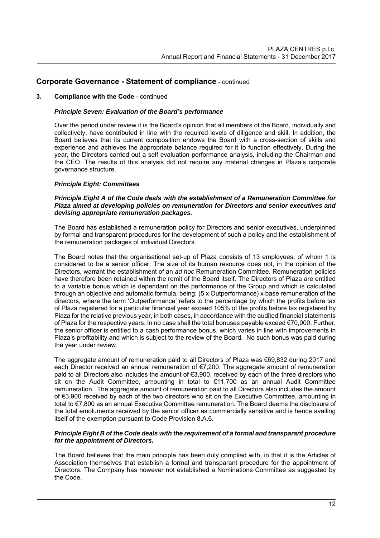#### **3. Compliance with the Code** - continued

#### *Principle Seven: Evaluation of the Board's performance*

Over the period under review it is the Board's opinion that all members of the Board, individually and collectively, have contributed in line with the required levels of diligence and skill. In addition, the Board believes that its current composition endows the Board with a cross-section of skills and experience and achieves the appropriate balance required for it to function effectively. During the year, the Directors carried out a self evaluation performance analysis, including the Chairman and the CEO. The results of this analysis did not require any material changes in Plaza's corporate governance structure.

#### *Principle Eight: Committees*

#### *Principle Eight A of the Code deals with the establishment of a Remuneration Committee for Plaza aimed at developing policies on remuneration for Directors and senior executives and devising appropriate remuneration packages.*

The Board has established a remuneration policy for Directors and senior executives, underpinned by formal and transparent procedures for the development of such a policy and the establishment of the remuneration packages of individual Directors.

The Board notes that the organisational set-up of Plaza consists of 13 employees, of whom 1 is considered to be a senior officer. The size of its human resource does not, in the opinion of the Directors, warrant the establishment of an *ad hoc* Remuneration Committee. Remuneration policies have therefore been retained within the remit of the Board itself. The Directors of Plaza are entitled to a variable bonus which is dependant on the performance of the Group and which is calculated through an objective and automatic formula, being: (5 x Outperformance) x base remuneration of the directors, where the term 'Outperformance' refers to the percentage by which the profits before tax of Plaza registered for a particular financial year exceed 105% of the profits before tax registered by Plaza for the relative previous year, in both cases, in accordance with the audited financial statements of Plaza for the respective years. In no case shall the total bonuses payable exceed €70,000. Further, the senior officer is entitled to a cash performance bonus, which varies in line with improvements in Plaza's profitability and which is subject to the review of the Board. No such bonus was paid during the year under review.

The aggregate amount of remuneration paid to all Directors of Plaza was €69,832 during 2017 and each Director received an annual remuneration of €7,200. The aggregate amount of remuneration paid to all Directors also includes the amount of €3,900, received by each of the three directors who sit on the Audit Committee, amounting in total to €11,700 as an annual Audit Committee remuneration. The aggregate amount of remuneration paid to all Directors also includes the amount of €3,900 received by each of the two directors who sit on the Executive Committee, amounting in total to €7,800 as an annual Executive Committee remuneration. The Board deems the disclosure of the total emoluments received by the senior officer as commercially sensitive and is hence availing itself of the exemption pursuant to Code Provision 8.A.6.

#### *Principle Eight B of the Code deals with the requirement of a formal and transparant procedure for the appointment of Directors.*

The Board believes that the main principle has been duly complied with, in that it is the Articles of Association themselves that establish a formal and transparant procedure for the appointment of Directors. The Company has however not established a Nominations Committee as suggested by the Code.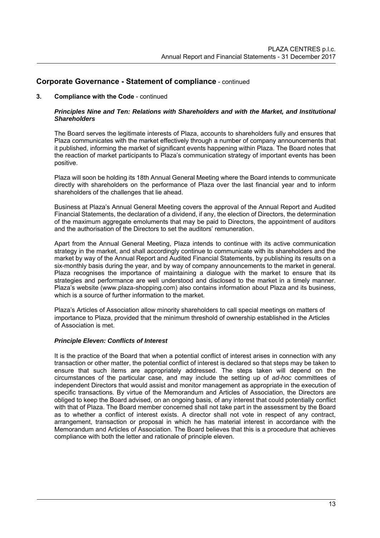#### **3. Compliance with the Code** - continued

#### *Principles Nine and Ten: Relations with Shareholders and with the Market, and Institutional Shareholders*

The Board serves the legitimate interests of Plaza, accounts to shareholders fully and ensures that Plaza communicates with the market effectively through a number of company announcements that it published, informing the market of significant events happening within Plaza. The Board notes that the reaction of market participants to Plaza's communication strategy of important events has been positive.

Plaza will soon be holding its 18th Annual General Meeting where the Board intends to communicate directly with shareholders on the performance of Plaza over the last financial year and to inform shareholders of the challenges that lie ahead.

Business at Plaza's Annual General Meeting covers the approval of the Annual Report and Audited Financial Statements, the declaration of a dividend, if any, the election of Directors, the determination of the maximum aggregate emoluments that may be paid to Directors, the appointment of auditors and the authorisation of the Directors to set the auditors' remuneration.

Apart from the Annual General Meeting, Plaza intends to continue with its active communication strategy in the market, and shall accordingly continue to communicate with its shareholders and the market by way of the Annual Report and Audited Financial Statements, by publishing its results on a six-monthly basis during the year, and by way of company announcements to the market in general. Plaza recognises the importance of maintaining a dialogue with the market to ensure that its strategies and performance are well understood and disclosed to the market in a timely manner. Plaza's website (www.plaza-shopping.com) also contains information about Plaza and its business, which is a source of further information to the market.

Plaza's Articles of Association allow minority shareholders to call special meetings on matters of importance to Plaza, provided that the minimum threshold of ownership established in the Articles of Association is met.

#### *Principle Eleven: Conflicts of Interest*

It is the practice of the Board that when a potential conflict of interest arises in connection with any transaction or other matter, the potential conflict of interest is declared so that steps may be taken to ensure that such items are appropriately addressed. The steps taken will depend on the circumstances of the particular case, and may include the setting up of *ad-hoc* committees of independent Directors that would assist and monitor management as appropriate in the execution of specific transactions. By virtue of the Memorandum and Articles of Association, the Directors are obliged to keep the Board advised, on an ongoing basis, of any interest that could potentially conflict with that of Plaza. The Board member concerned shall not take part in the assessment by the Board as to whether a conflict of interest exists. A director shall not vote in respect of any contract, arrangement, transaction or proposal in which he has material interest in accordance with the Memorandum and Articles of Association. The Board believes that this is a procedure that achieves compliance with both the letter and rationale of principle eleven.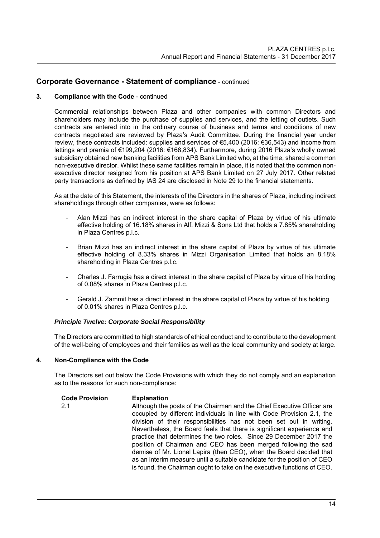# **3. Compliance with the Code** - continued

Commercial relationships between Plaza and other companies with common Directors and shareholders may include the purchase of supplies and services, and the letting of outlets. Such contracts are entered into in the ordinary course of business and terms and conditions of new contracts negotiated are reviewed by Plaza's Audit Committee. During the financial year under review, these contracts included: supplies and services of €5,400 (2016: €36,543) and income from lettings and premia of €199,204 (2016: €168,834). Furthermore, during 2016 Plaza's wholly owned subsidiary obtained new banking facilities from APS Bank Limited who, at the time, shared a common non-executive director. Whilst these same facilities remain in place, it is noted that the common nonexecutive director resigned from his position at APS Bank Limited on 27 July 2017. Other related party transactions as defined by IAS 24 are disclosed in Note 29 to the financial statements.

As at the date of this Statement, the interests of the Directors in the shares of Plaza, including indirect shareholdings through other companies, were as follows:

- Alan Mizzi has an indirect interest in the share capital of Plaza by virtue of his ultimate effective holding of 16.18% shares in Alf. Mizzi & Sons Ltd that holds a 7.85% shareholding in Plaza Centres p.l.c.
- Brian Mizzi has an indirect interest in the share capital of Plaza by virtue of his ultimate effective holding of 8.33% shares in Mizzi Organisation Limited that holds an 8.18% shareholding in Plaza Centres p.l.c.
- Charles J. Farrugia has a direct interest in the share capital of Plaza by virtue of his holding of 0.08% shares in Plaza Centres p.l.c.
- Gerald J. Zammit has a direct interest in the share capital of Plaza by virtue of his holding of 0.01% shares in Plaza Centres p.l.c.

## *Principle Twelve: Corporate Social Responsibility*

The Directors are committed to high standards of ethical conduct and to contribute to the development of the well-being of employees and their families as well as the local community and society at large.

## **4. Non-Compliance with the Code**

The Directors set out below the Code Provisions with which they do not comply and an explanation as to the reasons for such non-compliance:

#### **Code Provision Explanation**  2.1 **Although the posts of the Chairman and the Chief Executive Officer are** occupied by different individuals in line with Code Provision 2.1, the division of their responsibilities has not been set out in writing. Nevertheless, the Board feels that there is significant experience and practice that determines the two roles. Since 29 December 2017 the position of Chairman and CEO has been merged following the sad demise of Mr. Lionel Lapira (then CEO), when the Board decided that as an interim measure until a suitable candidate for the position of CEO is found, the Chairman ought to take on the executive functions of CEO.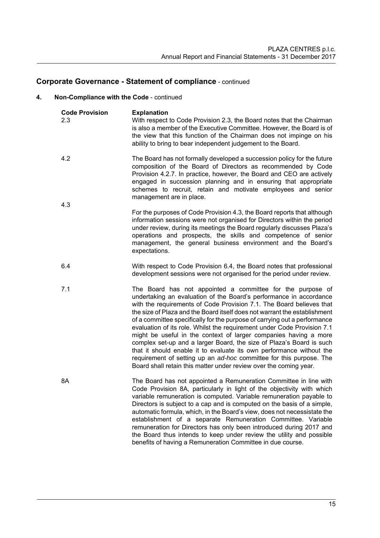# **4. Non-Compliance with the Code** - continued

| <b>Code Provision</b><br>2.3 | <b>Explanation</b><br>With respect to Code Provision 2.3, the Board notes that the Chairman<br>is also a member of the Executive Committee. However, the Board is of<br>the view that this function of the Chairman does not impinge on his<br>ability to bring to bear independent judgement to the Board.                                                                                                                                                                                                                                                                                                                                                                                                                                                                                                   |
|------------------------------|---------------------------------------------------------------------------------------------------------------------------------------------------------------------------------------------------------------------------------------------------------------------------------------------------------------------------------------------------------------------------------------------------------------------------------------------------------------------------------------------------------------------------------------------------------------------------------------------------------------------------------------------------------------------------------------------------------------------------------------------------------------------------------------------------------------|
| 4.2                          | The Board has not formally developed a succession policy for the future<br>composition of the Board of Directors as recommended by Code<br>Provision 4.2.7. In practice, however, the Board and CEO are actively<br>engaged in succession planning and in ensuring that appropriate<br>schemes to recruit, retain and motivate employees and senior<br>management are in place.                                                                                                                                                                                                                                                                                                                                                                                                                               |
| 4.3                          | For the purposes of Code Provision 4.3, the Board reports that although<br>information sessions were not organised for Directors within the period<br>under review, during its meetings the Board regularly discusses Plaza's<br>operations and prospects, the skills and competence of senior<br>management, the general business environment and the Board's<br>expectations.                                                                                                                                                                                                                                                                                                                                                                                                                               |
| 6.4                          | With respect to Code Provision 6.4, the Board notes that professional<br>development sessions were not organised for the period under review.                                                                                                                                                                                                                                                                                                                                                                                                                                                                                                                                                                                                                                                                 |
| 7.1                          | The Board has not appointed a committee for the purpose of<br>undertaking an evaluation of the Board's performance in accordance<br>with the requirements of Code Provision 7.1. The Board believes that<br>the size of Plaza and the Board itself does not warrant the establishment<br>of a committee specifically for the purpose of carrying out a performance<br>evaluation of its role. Whilst the requirement under Code Provision 7.1<br>might be useful in the context of larger companies having a more<br>complex set-up and a larger Board, the size of Plaza's Board is such<br>that it should enable it to evaluate its own performance without the<br>requirement of setting up an ad-hoc committee for this purpose. The<br>Board shall retain this matter under review over the coming year. |
| 8A                           | The Board has not appointed a Remuneration Committee in line with<br>Code Provision 8A, particularly in light of the objectivity with which<br>variable remuneration is computed. Variable remuneration payable to<br>Directors is subject to a cap and is computed on the basis of a simple,<br>automatic formula, which, in the Board's view, does not necessistate the<br>establishment of a separate Remuneration Committee. Variable<br>remuneration for Directors has only been introduced during 2017 and<br>the Board thus intends to keep under review the utility and possible<br>benefits of having a Remuneration Committee in due course.                                                                                                                                                        |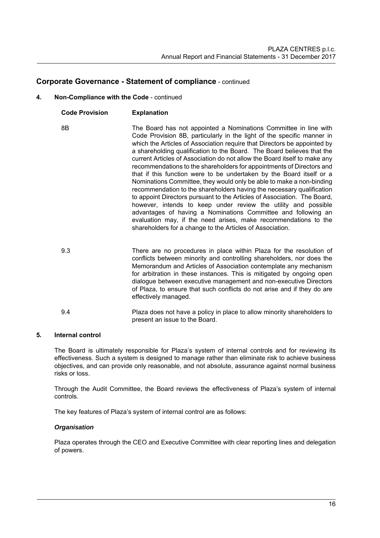# **4. Non-Compliance with the Code** - continued

**Code Provision Explanation**

| <b>UUUT FIUVISIUII</b> | LAPIQUQUUI                                                                                                                                                                                                                                                                                                                                                                                                                                                                                                                                                                                                                                                                                                                                                                                                                                                                                                                                                                                                                     |
|------------------------|--------------------------------------------------------------------------------------------------------------------------------------------------------------------------------------------------------------------------------------------------------------------------------------------------------------------------------------------------------------------------------------------------------------------------------------------------------------------------------------------------------------------------------------------------------------------------------------------------------------------------------------------------------------------------------------------------------------------------------------------------------------------------------------------------------------------------------------------------------------------------------------------------------------------------------------------------------------------------------------------------------------------------------|
| 8Β                     | The Board has not appointed a Nominations Committee in line with<br>Code Provision 8B, particularly in the light of the specific manner in<br>which the Articles of Association require that Directors be appointed by<br>a shareholding qualification to the Board. The Board believes that the<br>current Articles of Association do not allow the Board itself to make any<br>recommendations to the shareholders for appointments of Directors and<br>that if this function were to be undertaken by the Board itself or a<br>Nominations Committee, they would only be able to make a non-binding<br>recommendation to the shareholders having the necessary qualification<br>to appoint Directors pursuant to the Articles of Association. The Board,<br>however, intends to keep under review the utility and possible<br>advantages of having a Nominations Committee and following an<br>evaluation may, if the need arises, make recommendations to the<br>shareholders for a change to the Articles of Association. |
|                        |                                                                                                                                                                                                                                                                                                                                                                                                                                                                                                                                                                                                                                                                                                                                                                                                                                                                                                                                                                                                                                |

- 9.3 There are no procedures in place within Plaza for the resolution of conflicts between minority and controlling shareholders, nor does the Memorandum and Articles of Association contemplate any mechanism for arbitration in these instances. This is mitigated by ongoing open dialogue between executive management and non-executive Directors of Plaza, to ensure that such conflicts do not arise and if they do are effectively managed.
- 9.4 Plaza does not have a policy in place to allow minority shareholders to present an issue to the Board.

# **5***.* **Internal control**

The Board is ultimately responsible for Plaza's system of internal controls and for reviewing its effectiveness. Such a system is designed to manage rather than eliminate risk to achieve business objectives, and can provide only reasonable, and not absolute, assurance against normal business risks or loss.

Through the Audit Committee, the Board reviews the effectiveness of Plaza's system of internal controls.

The key features of Plaza's system of internal control are as follows:

## *Organisation*

Plaza operates through the CEO and Executive Committee with clear reporting lines and delegation of powers.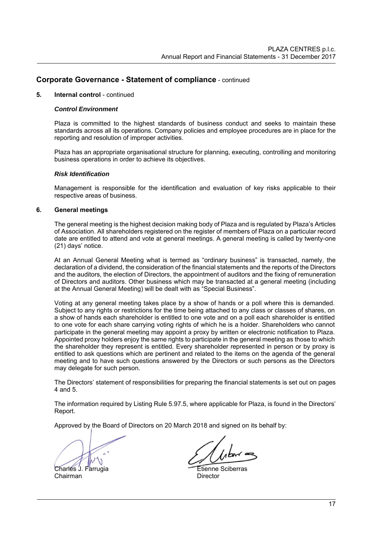#### **5***.* **Internal control** - continued

#### *Control Environment*

Plaza is committed to the highest standards of business conduct and seeks to maintain these standards across all its operations. Company policies and employee procedures are in place for the reporting and resolution of improper activities.

Plaza has an appropriate organisational structure for planning, executing, controlling and monitoring business operations in order to achieve its objectives.

#### *Risk Identification*

Management is responsible for the identification and evaluation of key risks applicable to their respective areas of business.

#### **6. General meetings**

The general meeting is the highest decision making body of Plaza and is regulated by Plaza's Articles of Association. All shareholders registered on the register of members of Plaza on a particular record date are entitled to attend and vote at general meetings. A general meeting is called by twenty-one (21) days' notice.

At an Annual General Meeting what is termed as "ordinary business" is transacted, namely, the declaration of a dividend, the consideration of the financial statements and the reports of the Directors and the auditors, the election of Directors, the appointment of auditors and the fixing of remuneration of Directors and auditors. Other business which may be transacted at a general meeting (including at the Annual General Meeting) will be dealt with as "Special Business".

Voting at any general meeting takes place by a show of hands or a poll where this is demanded. Subject to any rights or restrictions for the time being attached to any class or classes of shares, on a show of hands each shareholder is entitled to one vote and on a poll each shareholder is entitled to one vote for each share carrying voting rights of which he is a holder. Shareholders who cannot participate in the general meeting may appoint a proxy by written or electronic notification to Plaza. Appointed proxy holders enjoy the same rights to participate in the general meeting as those to which the shareholder they represent is entitled. Every shareholder represented in person or by proxy is entitled to ask questions which are pertinent and related to the items on the agenda of the general meeting and to have such questions answered by the Directors or such persons as the Directors may delegate for such person.

The Directors' statement of responsibilities for preparing the financial statements is set out on pages 4 and 5.

The information required by Listing Rule 5.97.5, where applicable for Plaza, is found in the Directors' Report.

Approved by the Board of Directors on 20 March 2018 and signed on its behalf by:

Chairman **Director** 

Charles J. Farrugia **Etienne** Sciberras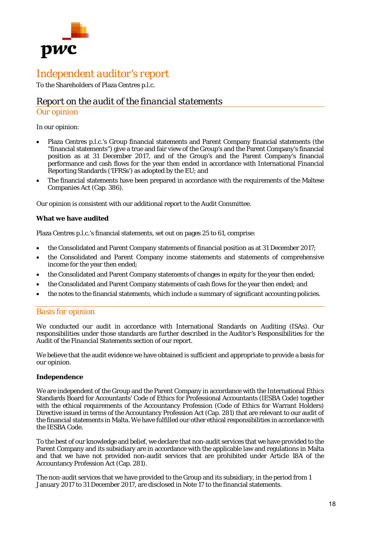

# *Independent auditor's report*

To the Shareholders of Plaza Centres p.l.c.

# *Report on the audit of the financial statements*

# *Our opinion*

## In our opinion:

- Plaza Centres p.l.c.'s Group financial statements and Parent Company financial statements (the "financial statements") give a true and fair view of the Group's and the Parent Company's financial position as at 31 December 2017, and of the Group's and the Parent Company's financial performance and cash flows for the year then ended in accordance with International Financial Reporting Standards ('IFRSs') as adopted by the EU; and
- The financial statements have been prepared in accordance with the requirements of the Maltese Companies Act (Cap. 386).

Our opinion is consistent with our additional report to the Audit Committee.

## **What we have audited**

Plaza Centres p.l.c.'s financial statements, set out on pages 25 to 61, comprise:

- the Consolidated and Parent Company statements of financial position as at 31 December 2017;
- the Consolidated and Parent Company income statements and statements of comprehensive income for the year then ended;
- the Consolidated and Parent Company statements of changes in equity for the year then ended;
- the Consolidated and Parent Company statements of cash flows for the year then ended; and
- the notes to the financial statements, which include a summary of significant accounting policies.

# *Basis for opinion*

We conducted our audit in accordance with International Standards on Auditing (ISAs). Our responsibilities under those standards are further described in the *Auditor's Responsibilities for the Audit of the Financial Statements* section of our report.

We believe that the audit evidence we have obtained is sufficient and appropriate to provide a basis for our opinion.

## **Independence**

We are independent of the Group and the Parent Company in accordance with the International Ethics Standards Board for Accountants' Code of Ethics for Professional Accountants (IESBA Code) together with the ethical requirements of the Accountancy Profession (Code of Ethics for Warrant Holders) Directive issued in terms of the Accountancy Profession Act (Cap. 281) that are relevant to our audit of the financial statements in Malta. We have fulfilled our other ethical responsibilities in accordance with the IESBA Code.

To the best of our knowledge and belief, we declare that non-audit services that we have provided to the Parent Company and its subsidiary are in accordance with the applicable law and regulations in Malta and that we have not provided non-audit services that are prohibited under Article 18A of the Accountancy Profession Act (Cap. 281).

The non-audit services that we have provided to the Group and its subsidiary, in the period from 1 January 2017 to 31 December 2017, are disclosed in Note 17 to the financial statements.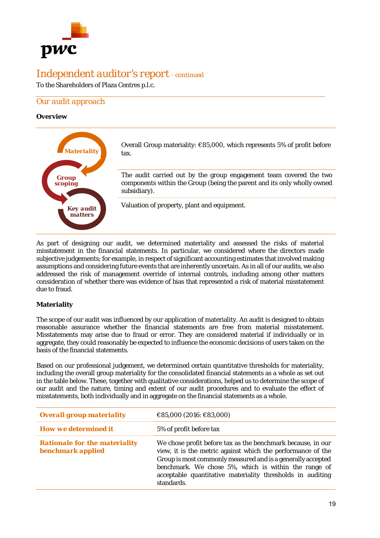

To the Shareholders of Plaza Centres p.l.c.

# *Our audit approach*

## **Overview**



As part of designing our audit, we determined materiality and assessed the risks of material misstatement in the financial statements. In particular, we considered where the directors made subjective judgements; for example, in respect of significant accounting estimates that involved making assumptions and considering future events that are inherently uncertain. As in all of our audits, we also addressed the risk of management override of internal controls, including among other matters consideration of whether there was evidence of bias that represented a risk of material misstatement due to fraud.

# **Materiality**

The scope of our audit was influenced by our application of materiality. An audit is designed to obtain reasonable assurance whether the financial statements are free from material misstatement. Misstatements may arise due to fraud or error. They are considered material if individually or in aggregate, they could reasonably be expected to influence the economic decisions of users taken on the basis of the financial statements.

Based on our professional judgement, we determined certain quantitative thresholds for materiality, including the overall group materiality for the consolidated financial statements as a whole as set out in the table below. These, together with qualitative considerations, helped us to determine the scope of our audit and the nature, timing and extent of our audit procedures and to evaluate the effect of misstatements, both individually and in aggregate on the financial statements as a whole.

| <b>Overall group materiality</b>                          | €85,000 (2016: €83,000)                                                                                                                                                                                                                                                                                                       |
|-----------------------------------------------------------|-------------------------------------------------------------------------------------------------------------------------------------------------------------------------------------------------------------------------------------------------------------------------------------------------------------------------------|
| <b>How we determined it</b>                               | 5% of profit before tax                                                                                                                                                                                                                                                                                                       |
| <b>Rationale for the materiality</b><br>benchmark applied | We chose profit before tax as the benchmark because, in our<br>view, it is the metric against which the performance of the<br>Group is most commonly measured and is a generally accepted<br>benchmark. We chose 5%, which is within the range of<br>acceptable quantitative materiality thresholds in auditing<br>standards. |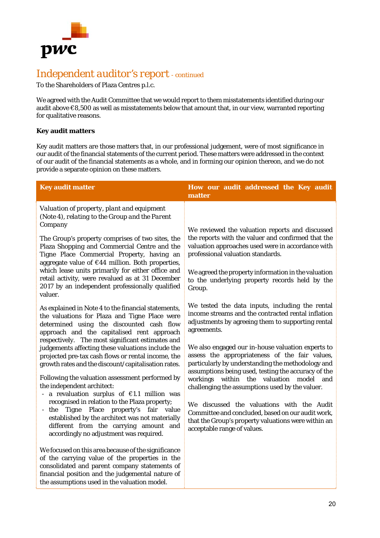

To the Shareholders of Plaza Centres p.l.c.

We agreed with the Audit Committee that we would report to them misstatements identified during our audit above €8,500 as well as misstatements below that amount that, in our view, warranted reporting for qualitative reasons.

# **Key audit matters**

Key audit matters are those matters that, in our professional judgement, were of most significance in our audit of the financial statements of the current period. These matters were addressed in the context of our audit of the financial statements as a whole, and in forming our opinion thereon, and we do not provide a separate opinion on these matters.

| <b>Key audit matter</b>                                                                                                                                                                                                                                    | How our audit addressed the Key audit<br>matter                                                                                                                                                                 |
|------------------------------------------------------------------------------------------------------------------------------------------------------------------------------------------------------------------------------------------------------------|-----------------------------------------------------------------------------------------------------------------------------------------------------------------------------------------------------------------|
| Valuation of property, plant and equipment<br>(Note 4), relating to the Group and the Parent<br>Company                                                                                                                                                    |                                                                                                                                                                                                                 |
| The Group's property comprises of two sites, the<br>Plaza Shopping and Commercial Centre and the<br>Tigne Place Commercial Property, having an                                                                                                             | We reviewed the valuation reports and discussed<br>the reports with the valuer and confirmed that the<br>valuation approaches used were in accordance with<br>professional valuation standards.                 |
| aggregate value of €44 million. Both properties,<br>which lease units primarily for either office and<br>retail activity, were revalued as at 31 December<br>2017 by an independent professionally qualified<br>valuer.                                    | We agreed the property information in the valuation<br>to the underlying property records held by the<br>Group.                                                                                                 |
| As explained in Note 4 to the financial statements,<br>the valuations for Plaza and Tigne Place were<br>determined using the discounted cash flow<br>approach and the capitalised rent approach                                                            | We tested the data inputs, including the rental<br>income streams and the contracted rental inflation<br>adjustments by agreeing them to supporting rental<br>agreements.                                       |
| respectively. The most significant estimates and<br>judgements affecting these valuations include the<br>projected pre-tax cash flows or rental income, the<br>growth rates and the discount/capitalisation rates.                                         | We also engaged our in-house valuation experts to<br>assess the appropriateness of the fair values,<br>particularly by understanding the methodology and<br>assumptions being used, testing the accuracy of the |
| Following the valuation assessment performed by<br>the independent architect:<br>- a revaluation surplus of $E1.1$ million was                                                                                                                             | workings within the valuation model and<br>challenging the assumptions used by the valuer.                                                                                                                      |
| recognised in relation to the Plaza property;<br>Tigne Place property's fair<br>$-$ the<br>value<br>established by the architect was not materially<br>different from the carrying amount and<br>accordingly no adjustment was required.                   | We discussed the valuations with the Audit<br>Committee and concluded, based on our audit work,<br>that the Group's property valuations were within an<br>acceptable range of values.                           |
| We focused on this area because of the significance<br>of the carrying value of the properties in the<br>consolidated and parent company statements of<br>financial position and the judgemental nature of<br>the assumptions used in the valuation model. |                                                                                                                                                                                                                 |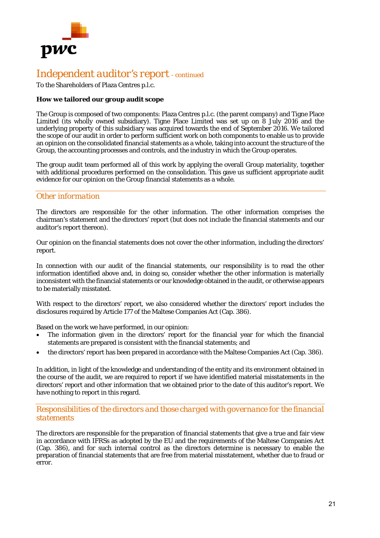

To the Shareholders of Plaza Centres p.l.c.

## **How we tailored our group audit scope**

The Group is composed of two components: Plaza Centres p.l.c. (the parent company) and Tigne Place Limited (its wholly owned subsidiary). Tigne Place Limited was set up on 8 July 2016 and the underlying property of this subsidiary was acquired towards the end of September 2016. We tailored the scope of our audit in order to perform sufficient work on both components to enable us to provide an opinion on the consolidated financial statements as a whole, taking into account the structure of the Group, the accounting processes and controls, and the industry in which the Group operates.

The group audit team performed all of this work by applying the overall Group materiality, together with additional procedures performed on the consolidation. This gave us sufficient appropriate audit evidence for our opinion on the Group financial statements as a whole.

# *Other information*

The directors are responsible for the other information. The other information comprises the chairman's statement and the directors' report (but does not include the financial statements and our auditor's report thereon).

Our opinion on the financial statements does not cover the other information, including the directors' report.

In connection with our audit of the financial statements, our responsibility is to read the other information identified above and, in doing so, consider whether the other information is materially inconsistent with the financial statements or our knowledge obtained in the audit, or otherwise appears to be materially misstated.

With respect to the directors' report, we also considered whether the directors' report includes the disclosures required by Article 177 of the Maltese Companies Act (Cap. 386).

Based on the work we have performed, in our opinion:

- The information given in the directors' report for the financial year for which the financial statements are prepared is consistent with the financial statements; and
- the directors' report has been prepared in accordance with the Maltese Companies Act (Cap. 386).

In addition, in light of the knowledge and understanding of the entity and its environment obtained in the course of the audit, we are required to report if we have identified material misstatements in the directors' report and other information that we obtained prior to the date of this auditor's report. We have nothing to report in this regard.

# *Responsibilities of the directors and those charged with governance for the financial statements*

The directors are responsible for the preparation of financial statements that give a true and fair view in accordance with IFRSs as adopted by the EU and the requirements of the Maltese Companies Act (Cap. 386), and for such internal control as the directors determine is necessary to enable the preparation of financial statements that are free from material misstatement, whether due to fraud or error.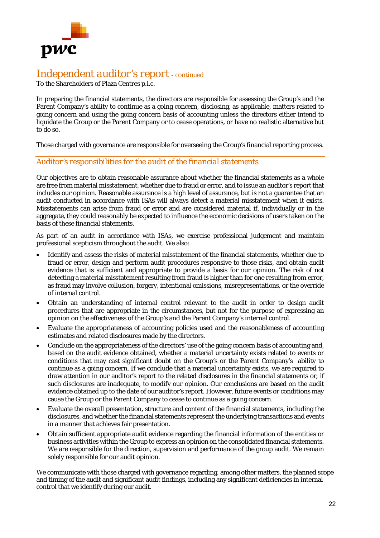

To the Shareholders of Plaza Centres p.l.c.

In preparing the financial statements, the directors are responsible for assessing the Group's and the Parent Company's ability to continue as a going concern, disclosing, as applicable, matters related to going concern and using the going concern basis of accounting unless the directors either intend to liquidate the Group or the Parent Company or to cease operations, or have no realistic alternative but to do so.

Those charged with governance are responsible for overseeing the Group's financial reporting process.

# *Auditor's responsibilities for the audit of the financial statements*

Our objectives are to obtain reasonable assurance about whether the financial statements as a whole are free from material misstatement, whether due to fraud or error, and to issue an auditor's report that includes our opinion. Reasonable assurance is a high level of assurance, but is not a guarantee that an audit conducted in accordance with ISAs will always detect a material misstatement when it exists. Misstatements can arise from fraud or error and are considered material if, individually or in the aggregate, they could reasonably be expected to influence the economic decisions of users taken on the basis of these financial statements.

As part of an audit in accordance with ISAs, we exercise professional judgement and maintain professional scepticism throughout the audit. We also:

- Identify and assess the risks of material misstatement of the financial statements, whether due to fraud or error, design and perform audit procedures responsive to those risks, and obtain audit evidence that is sufficient and appropriate to provide a basis for our opinion. The risk of not detecting a material misstatement resulting from fraud is higher than for one resulting from error, as fraud may involve collusion, forgery, intentional omissions, misrepresentations, or the override of internal control.
- Obtain an understanding of internal control relevant to the audit in order to design audit procedures that are appropriate in the circumstances, but not for the purpose of expressing an opinion on the effectiveness of the Group's and the Parent Company's internal control.
- Evaluate the appropriateness of accounting policies used and the reasonableness of accounting estimates and related disclosures made by the directors.
- Conclude on the appropriateness of the directors' use of the going concern basis of accounting and, based on the audit evidence obtained, whether a material uncertainty exists related to events or conditions that may cast significant doubt on the Group's or the Parent Company's ability to continue as a going concern. If we conclude that a material uncertainty exists, we are required to draw attention in our auditor's report to the related disclosures in the financial statements or, if such disclosures are inadequate, to modify our opinion. Our conclusions are based on the audit evidence obtained up to the date of our auditor's report. However, future events or conditions may cause the Group or the Parent Company to cease to continue as a going concern.
- Evaluate the overall presentation, structure and content of the financial statements, including the disclosures, and whether the financial statements represent the underlying transactions and events in a manner that achieves fair presentation.
- Obtain sufficient appropriate audit evidence regarding the financial information of the entities or business activities within the Group to express an opinion on the consolidated financial statements. We are responsible for the direction, supervision and performance of the group audit. We remain solely responsible for our audit opinion.

We communicate with those charged with governance regarding, among other matters, the planned scope and timing of the audit and significant audit findings, including any significant deficiencies in internal control that we identify during our audit.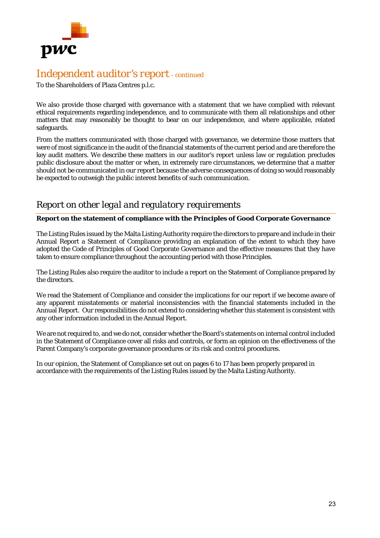

To the Shareholders of Plaza Centres p.l.c.

We also provide those charged with governance with a statement that we have complied with relevant ethical requirements regarding independence, and to communicate with them all relationships and other matters that may reasonably be thought to bear on our independence, and where applicable, related safeguards.

From the matters communicated with those charged with governance, we determine those matters that were of most significance in the audit of the financial statements of the current period and are therefore the key audit matters. We describe these matters in our auditor's report unless law or regulation precludes public disclosure about the matter or when, in extremely rare circumstances, we determine that a matter should not be communicated in our report because the adverse consequences of doing so would reasonably be expected to outweigh the public interest benefits of such communication.

# *Report on other legal and regulatory requirements*

## **Report on the statement of compliance with the Principles of Good Corporate Governance**

The Listing Rules issued by the Malta Listing Authority require the directors to prepare and include in their Annual Report a Statement of Compliance providing an explanation of the extent to which they have adopted the Code of Principles of Good Corporate Governance and the effective measures that they have taken to ensure compliance throughout the accounting period with those Principles.

The Listing Rules also require the auditor to include a report on the Statement of Compliance prepared by the directors.

We read the Statement of Compliance and consider the implications for our report if we become aware of any apparent misstatements or material inconsistencies with the financial statements included in the Annual Report. Our responsibilities do not extend to considering whether this statement is consistent with any other information included in the Annual Report.

We are not required to, and we do not, consider whether the Board's statements on internal control included in the Statement of Compliance cover all risks and controls, or form an opinion on the effectiveness of the Parent Company's corporate governance procedures or its risk and control procedures.

In our opinion, the Statement of Compliance set out on pages 6 to 17 has been properly prepared in accordance with the requirements of the Listing Rules issued by the Malta Listing Authority.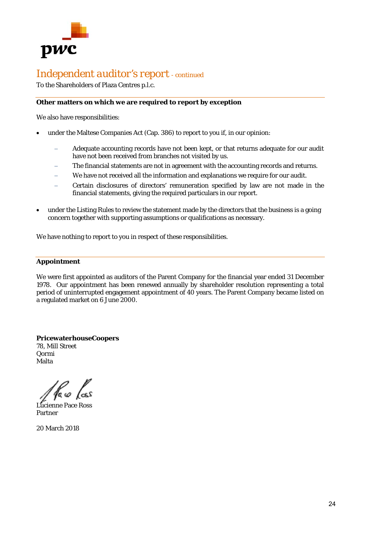

To the Shareholders of Plaza Centres p.l.c.

# **Other matters on which we are required to report by exception**

We also have responsibilities:

- under the Maltese Companies Act (Cap. 386) to report to you if, in our opinion:
	- Adequate accounting records have not been kept, or that returns adequate for our audit have not been received from branches not visited by us.
	- The financial statements are not in agreement with the accounting records and returns.
	- We have not received all the information and explanations we require for our audit.
	- Certain disclosures of directors' remuneration specified by law are not made in the financial statements, giving the required particulars in our report.
- under the Listing Rules to review the statement made by the directors that the business is a going concern together with supporting assumptions or qualifications as necessary.

We have nothing to report to you in respect of these responsibilities.

#### **Appointment**

We were first appointed as auditors of the Parent Company for the financial year ended 31 December 1978. Our appointment has been renewed annually by shareholder resolution representing a total period of uninterrupted engagement appointment of 40 years. The Parent Company became listed on a regulated market on 6 June 2000.

**PricewaterhouseCoopers**  78, Mill Street Qormi Malta

1a co

Lucienne Pace Ross Partner

20 March 2018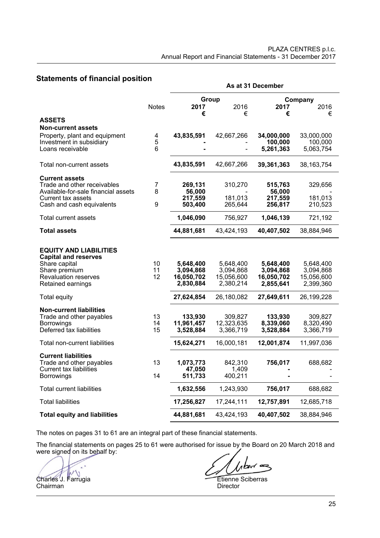# **Statements of financial position**

|                                                                                                             |                | As at 31 December                  |                                    |                                   |                                   |  |
|-------------------------------------------------------------------------------------------------------------|----------------|------------------------------------|------------------------------------|-----------------------------------|-----------------------------------|--|
|                                                                                                             |                | Group                              |                                    |                                   | Company                           |  |
|                                                                                                             | <b>Notes</b>   | 2017                               | 2016                               | 2017                              | 2016                              |  |
| <b>ASSETS</b>                                                                                               |                | €                                  | €                                  | €                                 | €                                 |  |
| <b>Non-current assets</b>                                                                                   |                |                                    |                                    |                                   |                                   |  |
| Property, plant and equipment                                                                               | 4              | 43,835,591                         | 42,667,266                         | 34,000,000                        | 33,000,000                        |  |
| Investment in subsidiary                                                                                    | 5              |                                    |                                    | 100,000                           | 100,000                           |  |
| Loans receivable                                                                                            | 6              |                                    |                                    | 5,261,363                         | 5,063,754                         |  |
| Total non-current assets                                                                                    |                | 43,835,591                         | 42,667,266                         | 39,361,363                        | 38, 163, 754                      |  |
| <b>Current assets</b>                                                                                       |                |                                    |                                    |                                   |                                   |  |
| Trade and other receivables                                                                                 | 7              | 269,131                            | 310,270                            | 515,763                           | 329,656                           |  |
| Available-for-sale financial assets<br>Current tax assets                                                   | 8              | 56,000                             | 181,013                            | 56,000<br>217,559                 | 181,013                           |  |
| Cash and cash equivalents                                                                                   | 9              | 217,559<br>503,400                 | 265,644                            | 256,817                           | 210,523                           |  |
|                                                                                                             |                |                                    |                                    |                                   |                                   |  |
| Total current assets                                                                                        |                | 1,046,090                          | 756,927                            | 1,046,139                         | 721,192                           |  |
| <b>Total assets</b>                                                                                         |                | 44,881,681                         | 43,424,193                         | 40,407,502                        | 38,884,946                        |  |
| <b>EQUITY AND LIABILITIES</b><br><b>Capital and reserves</b>                                                |                |                                    |                                    |                                   |                                   |  |
| Share capital<br>Share premium                                                                              | 10<br>11       | 5,648,400<br>3,094,868             | 5,648,400<br>3,094,868             | 5,648,400<br>3,094,868            | 5,648,400<br>3,094,868            |  |
| <b>Revaluation reserves</b>                                                                                 | 12             | 16,050,702                         | 15,056,600                         | 16,050,702                        | 15,056,600                        |  |
| Retained earnings                                                                                           |                | 2,830,884                          | 2,380,214                          | 2,855,641                         | 2,399,360                         |  |
| <b>Total equity</b>                                                                                         |                | 27,624,854                         | 26,180,082                         | 27,649,611                        | 26,199,228                        |  |
| <b>Non-current liabilities</b><br>Trade and other payables<br><b>Borrowings</b><br>Deferred tax liabilities | 13<br>14<br>15 | 133,930<br>11,961,457<br>3,528,884 | 309,827<br>12,323,635<br>3,366,719 | 133,930<br>8,339,060<br>3,528,884 | 309,827<br>8,320,490<br>3,366,719 |  |
|                                                                                                             |                |                                    |                                    |                                   |                                   |  |
| Total non-current liabilities                                                                               |                | 15,624,271                         | 16,000,181                         | 12,001,874                        | 11,997,036                        |  |
| <b>Current liabilities</b><br>Trade and other payables<br>Current tax liabilities                           | 13             | 1,073,773<br>47,050                | 842,310<br>1,409                   | 756,017                           | 688,682                           |  |
| <b>Borrowings</b>                                                                                           | 14             | 511,733                            | 400,211                            |                                   |                                   |  |
| <b>Total current liabilities</b>                                                                            |                | 1,632,556                          | 1,243,930                          | 756,017                           | 688,682                           |  |
| <b>Total liabilities</b>                                                                                    |                | 17,256,827                         | 17,244,111                         | 12,757,891                        | 12,685,718                        |  |
| <b>Total equity and liabilities</b>                                                                         |                | 44,881,681                         | 43,424,193                         | 40,407,502                        | 38,884,946                        |  |

The notes on pages 31 to 61 are an integral part of these financial statements.

The financial statements on pages 25 to 61 were authorised for issue by the Board on 20 March 2018 and were signed on its behalf by:

Charles J. Farrugia Etienne Sciberras<br>Chairman Director Chairman

 $1$ berra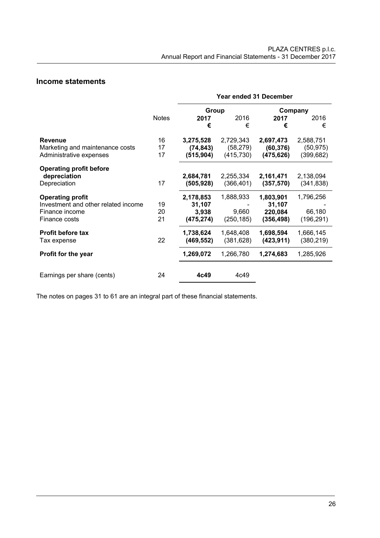# **Income statements**

|                                     |              | Year ended 31 December |            |            |            |
|-------------------------------------|--------------|------------------------|------------|------------|------------|
|                                     |              | Group                  |            | Company    |            |
|                                     | <b>Notes</b> | 2017                   | 2016       | 2017       | 2016       |
|                                     |              | €                      | €          | €          | €          |
| <b>Revenue</b>                      | 16           | 3,275,528              | 2,729,343  | 2,697,473  | 2,588,751  |
| Marketing and maintenance costs     | 17           | (74, 843)              | (58, 279)  | (60, 376)  | (50, 975)  |
| Administrative expenses             | 17           | (515, 904)             | (415, 730) | (475, 626) | (399, 682) |
| <b>Operating profit before</b>      |              |                        |            |            |            |
| depreciation                        |              | 2,684,781              | 2,255,334  | 2,161,471  | 2,138,094  |
| Depreciation                        | 17           | (505, 928)             | (366, 401) | (357, 570) | (341, 838) |
| <b>Operating profit</b>             |              | 2,178,853              | 1,888,933  | 1,803,901  | 1,796,256  |
| Investment and other related income | 19           | 31,107                 |            | 31,107     |            |
| Finance income                      | 20           | 3,938                  | 9,660      | 220,084    | 66,180     |
| Finance costs                       | 21           | (475, 274)             | (250, 185) | (356, 498) | (196, 291) |
| <b>Profit before tax</b>            |              | 1,738,624              | 1,648,408  | 1,698,594  | 1,666,145  |
| Tax expense                         | 22           | (469, 552)             | (381, 628) | (423, 911) | (380, 219) |
| Profit for the year                 |              | 1,269,072              | 1,266,780  | 1,274,683  | 1,285,926  |
| Earnings per share (cents)          | 24           | 4c49                   | 4c49       |            |            |

The notes on pages 31 to 61 are an integral part of these financial statements.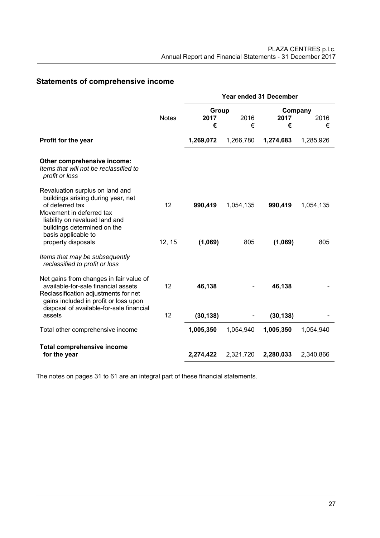# **Statements of comprehensive income**

|                                                                                                                                                                                                                                    |              | Year ended 31 December |                  |                    |                  |
|------------------------------------------------------------------------------------------------------------------------------------------------------------------------------------------------------------------------------------|--------------|------------------------|------------------|--------------------|------------------|
|                                                                                                                                                                                                                                    |              | Group                  |                  | Company            |                  |
|                                                                                                                                                                                                                                    | <b>Notes</b> | 2017<br>€              | 2016<br>€        | 2017<br>€          | 2016<br>€        |
|                                                                                                                                                                                                                                    |              |                        |                  |                    |                  |
| Profit for the year                                                                                                                                                                                                                |              | 1,269,072              | 1,266,780        | 1,274,683          | 1,285,926        |
| Other comprehensive income:<br>Items that will not be reclassified to<br>profit or loss                                                                                                                                            |              |                        |                  |                    |                  |
| Revaluation surplus on land and<br>buildings arising during year, net<br>of deferred tax<br>Movement in deferred tax<br>liability on revalued land and<br>buildings determined on the<br>basis applicable to<br>property disposals | 12<br>12, 15 | 990,419<br>(1,069)     | 1,054,135<br>805 | 990,419<br>(1,069) | 1,054,135<br>805 |
| Items that may be subsequently<br>reclassified to profit or loss                                                                                                                                                                   |              |                        |                  |                    |                  |
| Net gains from changes in fair value of<br>available-for-sale financial assets<br>Reclassification adjustments for net<br>gains included in profit or loss upon                                                                    | 12           | 46,138                 |                  | 46,138             |                  |
| disposal of available-for-sale financial<br>assets                                                                                                                                                                                 | 12           | (30, 138)              |                  | (30, 138)          |                  |
| Total other comprehensive income                                                                                                                                                                                                   |              | 1,005,350              | 1,054,940        | 1,005,350          | 1,054,940        |
| <b>Total comprehensive income</b>                                                                                                                                                                                                  |              |                        |                  |                    |                  |
| for the year                                                                                                                                                                                                                       |              | 2,274,422              | 2,321,720        | 2,280,033          | 2,340,866        |

The notes on pages 31 to 61 are an integral part of these financial statements.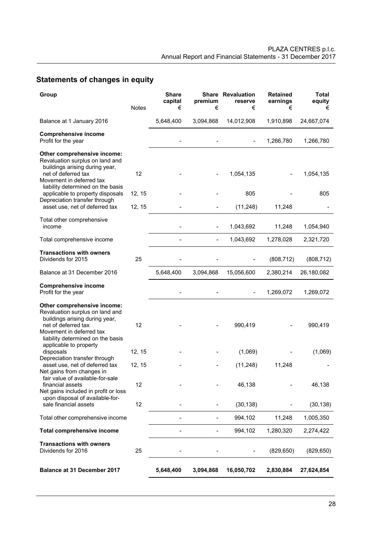# **Statements of changes in equity**

| Group                                                                                                                                                                                                                        | <b>Notes</b> | <b>Share</b><br>capital<br>€ | premium<br>€             | <b>Share Revaluation</b><br>reserve<br>€ | <b>Retained</b><br>earnings<br>€ | <b>Total</b><br>equity<br>€ |
|------------------------------------------------------------------------------------------------------------------------------------------------------------------------------------------------------------------------------|--------------|------------------------------|--------------------------|------------------------------------------|----------------------------------|-----------------------------|
| Balance at 1 January 2016                                                                                                                                                                                                    |              | 5,648,400                    | 3,094,868                | 14,012,908                               | 1,910,898                        | 24,667,074                  |
| <b>Comprehensive income</b><br>Profit for the year                                                                                                                                                                           |              |                              |                          |                                          | 1,266,780                        | 1,266,780                   |
| Other comprehensive income:<br>Revaluation surplus on land and<br>buildings arising during year,<br>net of deferred tax<br>Movement in deferred tax<br>liability determined on the basis<br>applicable to property disposals | 12<br>12, 15 |                              |                          | 1,054,135<br>805                         |                                  | 1,054,135<br>805            |
| Depreciation transfer through<br>asset use, net of deferred tax                                                                                                                                                              | 12, 15       |                              |                          | (11, 248)                                | 11,248                           |                             |
| Total other comprehensive<br>income                                                                                                                                                                                          |              |                              | $\overline{\phantom{a}}$ | 1,043,692                                | 11,248                           | 1,054,940                   |
| Total comprehensive income                                                                                                                                                                                                   |              |                              | $\overline{\phantom{a}}$ | 1,043,692                                | 1,278,028                        | 2,321,720                   |
| <b>Transactions with owners</b><br>Dividends for 2015                                                                                                                                                                        | 25           |                              |                          |                                          | (808, 712)                       | (808, 712)                  |
| Balance at 31 December 2016                                                                                                                                                                                                  |              | 5,648,400                    | 3,094,868                | 15,056,600                               | 2,380,214                        | 26,180,082                  |
| <b>Comprehensive income</b><br>Profit for the year                                                                                                                                                                           |              |                              |                          |                                          | 1,269,072                        | 1,269,072                   |
| Other comprehensive income:<br>Revaluation surplus on land and<br>buildings arising during year,<br>net of deferred tax<br>Movement in deferred tax<br>liability determined on the basis                                     | 12           |                              |                          | 990,419                                  |                                  | 990,419                     |
| applicable to property<br>disposals<br>Depreciation transfer through                                                                                                                                                         | 12, 15       |                              |                          | (1,069)                                  |                                  | (1,069)                     |
| asset use, net of deferred tax<br>Net gains from changes in                                                                                                                                                                  | 12, 15       |                              |                          | (11, 248)                                | 11,248                           |                             |
| fair value of available-for-sale<br>financial assets<br>Net gains included in profit or loss                                                                                                                                 | 12           |                              |                          | 46,138                                   |                                  | 46,138                      |
| upon disposal of available-for-<br>sale financial assets                                                                                                                                                                     | 12           |                              |                          | (30, 138)                                |                                  | (30, 138)                   |
| Total other comprehensive income                                                                                                                                                                                             |              |                              |                          | 994,102                                  | 11,248                           | 1,005,350                   |
| <b>Total comprehensive income</b>                                                                                                                                                                                            |              |                              |                          | 994,102                                  | 1,280,320                        | 2,274,422                   |
| <b>Transactions with owners</b><br>Dividends for 2016                                                                                                                                                                        | 25           |                              |                          |                                          | (829, 650)                       | (829, 650)                  |
| <b>Balance at 31 December 2017</b>                                                                                                                                                                                           |              | 5,648,400                    | 3,094,868                | 16,050,702                               | 2,830,884                        | 27,624,854                  |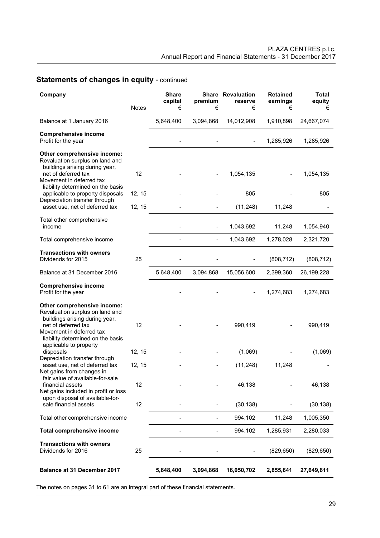# **Statements of changes in equity - continued**

| Company                                                                                                                                                                                                                                                       | <b>Notes</b> | <b>Share</b><br>capital<br>€ | premium<br>€   | <b>Share Revaluation</b><br>reserve<br>€ | <b>Retained</b><br>earnings<br>€ | <b>Total</b><br>equity<br>€ |
|---------------------------------------------------------------------------------------------------------------------------------------------------------------------------------------------------------------------------------------------------------------|--------------|------------------------------|----------------|------------------------------------------|----------------------------------|-----------------------------|
|                                                                                                                                                                                                                                                               |              |                              |                |                                          |                                  |                             |
| Balance at 1 January 2016                                                                                                                                                                                                                                     |              | 5,648,400                    | 3,094,868      | 14,012,908                               | 1,910,898                        | 24,667,074                  |
| <b>Comprehensive income</b><br>Profit for the year                                                                                                                                                                                                            |              |                              |                |                                          | 1,285,926                        | 1,285,926                   |
| Other comprehensive income:<br>Revaluation surplus on land and<br>buildings arising during year,<br>net of deferred tax<br>Movement in deferred tax<br>liability determined on the basis<br>applicable to property disposals<br>Depreciation transfer through | 12<br>12, 15 |                              |                | 1,054,135<br>805                         |                                  | 1,054,135<br>805            |
| asset use, net of deferred tax                                                                                                                                                                                                                                | 12, 15       |                              |                | (11, 248)                                | 11,248                           |                             |
| Total other comprehensive<br>income                                                                                                                                                                                                                           |              |                              | $\overline{a}$ | 1,043,692                                | 11,248                           | 1,054,940                   |
| Total comprehensive income                                                                                                                                                                                                                                    |              |                              |                | 1,043,692                                | 1,278,028                        | 2,321,720                   |
| <b>Transactions with owners</b><br>Dividends for 2015                                                                                                                                                                                                         | 25           |                              |                |                                          | (808, 712)                       | (808, 712)                  |
| Balance at 31 December 2016                                                                                                                                                                                                                                   |              | 5,648,400                    | 3,094,868      | 15,056,600                               | 2,399,360                        | 26,199,228                  |
| <b>Comprehensive income</b><br>Profit for the year                                                                                                                                                                                                            |              |                              |                |                                          | 1,274,683                        | 1,274,683                   |
| Other comprehensive income:<br>Revaluation surplus on land and<br>buildings arising during year,<br>net of deferred tax<br>Movement in deferred tax<br>liability determined on the basis<br>applicable to property                                            | 12           |                              |                | 990,419                                  |                                  | 990,419                     |
| disposals                                                                                                                                                                                                                                                     | 12, 15       |                              |                | (1,069)                                  |                                  | (1,069)                     |
| Depreciation transfer through<br>asset use, net of deferred tax<br>Net gains from changes in                                                                                                                                                                  | 12, 15       |                              |                | (11, 248)                                | 11,248                           |                             |
| fair value of available-for-sale<br>financial assets<br>Net gains included in profit or loss                                                                                                                                                                  | 12           |                              |                | 46,138                                   |                                  | 46,138                      |
| upon disposal of available-for-<br>sale financial assets                                                                                                                                                                                                      | 12           |                              |                | (30, 138)                                |                                  | (30, 138)                   |
| Total other comprehensive income                                                                                                                                                                                                                              |              |                              |                | 994,102                                  | 11,248                           | 1,005,350                   |
| <b>Total comprehensive income</b>                                                                                                                                                                                                                             |              |                              |                | 994,102                                  | 1,285,931                        | 2,280,033                   |
| <b>Transactions with owners</b><br>Dividends for 2016                                                                                                                                                                                                         | 25           |                              |                |                                          | (829, 650)                       | (829, 650)                  |
| Balance at 31 December 2017                                                                                                                                                                                                                                   |              | 5,648,400                    | 3,094,868      | 16,050,702                               | 2,855,641                        | 27,649,611                  |

The notes on pages 31 to 61 are an integral part of these financial statements.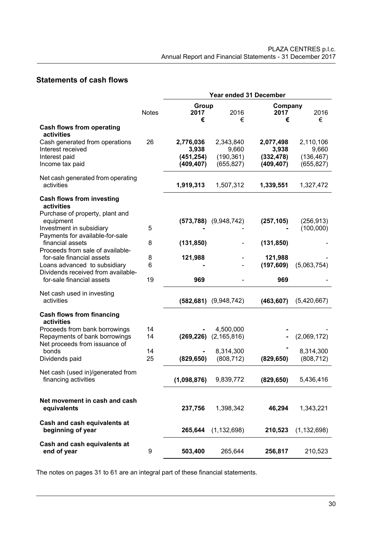# **Statements of cash flows**

|                                                                                                 |              |                                  |                                  | Year ended 31 December           |                                  |
|-------------------------------------------------------------------------------------------------|--------------|----------------------------------|----------------------------------|----------------------------------|----------------------------------|
|                                                                                                 | <b>Notes</b> | Group<br>2017<br>€               | 2016<br>€                        | Company<br>2017<br>€             | 2016<br>€                        |
| <b>Cash flows from operating</b><br>activities                                                  |              |                                  |                                  |                                  |                                  |
| Cash generated from operations<br>Interest received<br>Interest paid                            | 26           | 2,776,036<br>3,938<br>(451, 254) | 2,343,840<br>9,660<br>(190, 361) | 2,077,498<br>3,938<br>(332, 478) | 2,110,106<br>9,660<br>(136, 467) |
| Income tax paid                                                                                 |              | (409, 407)                       | (655, 827)                       | (409, 407)                       | (655, 827)                       |
| Net cash generated from operating<br>activities                                                 |              | 1,919,313                        | 1,507,312                        | 1,339,551                        | 1,327,472                        |
| <b>Cash flows from investing</b><br>activities<br>Purchase of property, plant and               |              |                                  |                                  |                                  |                                  |
| equipment<br>Investment in subsidiary<br>Payments for available-for-sale                        | 5            | (573, 788)                       | (9,948,742)                      | (257, 105)                       | (256, 913)<br>(100,000)          |
| financial assets<br>Proceeds from sale of available-                                            | 8            | (131, 850)                       |                                  | (131, 850)                       |                                  |
| for-sale financial assets<br>Loans advanced to subsidiary<br>Dividends received from available- | 8<br>6       | 121,988                          |                                  | 121,988<br>(197, 609)            | (5,063,754)                      |
| for-sale financial assets                                                                       | 19           | 969                              |                                  | 969                              |                                  |
| Net cash used in investing<br>activities                                                        |              | (582, 681)                       | (9,948,742)                      | (463, 607)                       | (5,420,667)                      |
| <b>Cash flows from financing</b><br>activities                                                  |              |                                  |                                  |                                  |                                  |
| Proceeds from bank borrowings<br>Repayments of bank borrowings<br>Net proceeds from issuance of | 14<br>14     | (269, 226)                       | 4,500,000<br>(2, 165, 816)       |                                  | (2,069,172)                      |
| bonds<br>Dividends paid                                                                         | 14<br>25     | (829, 650)                       | 8,314,300<br>(808, 712)          | (829, 650)                       | 8,314,300<br>(808, 712)          |
| Net cash (used in)/generated from<br>financing activities                                       |              | (1,098,876)                      | 9,839,772                        | (829, 650)                       | 5,436,416                        |
| Net movement in cash and cash<br>equivalents                                                    |              | 237,756                          | 1,398,342                        | 46,294                           | 1,343,221                        |
| Cash and cash equivalents at<br>beginning of year                                               |              | 265,644                          | (1, 132, 698)                    | 210,523                          | (1, 132, 698)                    |
| Cash and cash equivalents at<br>end of year                                                     | 9            | 503,400                          | 265,644                          | 256,817                          | 210,523                          |

The notes on pages 31 to 61 are an integral part of these financial statements.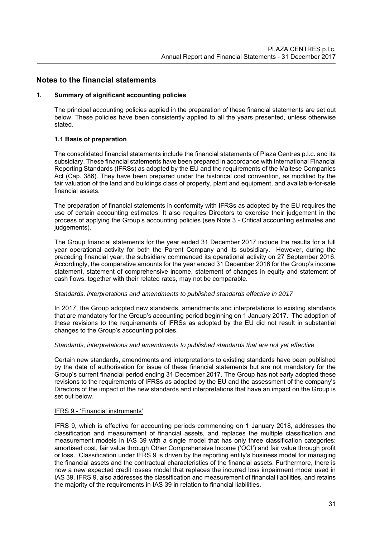# **Notes to the financial statements**

#### **1. Summary of significant accounting policies**

The principal accounting policies applied in the preparation of these financial statements are set out below. These policies have been consistently applied to all the years presented, unless otherwise stated.

## **1.1 Basis of preparation**

The consolidated financial statements include the financial statements of Plaza Centres p.l.c. and its subsidiary. These financial statements have been prepared in accordance with International Financial Reporting Standards (IFRSs) as adopted by the EU and the requirements of the Maltese Companies Act (Cap. 386). They have been prepared under the historical cost convention, as modified by the fair valuation of the land and buildings class of property, plant and equipment, and available-for-sale financial assets.

The preparation of financial statements in conformity with IFRSs as adopted by the EU requires the use of certain accounting estimates. It also requires Directors to exercise their judgement in the process of applying the Group's accounting policies (see Note 3 - Critical accounting estimates and judgements).

The Group financial statements for the year ended 31 December 2017 include the results for a full year operational activity for both the Parent Company and its subsidiary. However, during the preceding financial year, the subsidiary commenced its operational activity on 27 September 2016. Accordingly, the comparative amounts for the year ended 31 December 2016 for the Group's income statement, statement of comprehensive income, statement of changes in equity and statement of cash flows, together with their related rates, may not be comparable.

#### *Standards, interpretations and amendments to published standards effective in 2017*

In 2017, the Group adopted new standards, amendments and interpretations to existing standards that are mandatory for the Group's accounting period beginning on 1 January 2017. The adoption of these revisions to the requirements of IFRSs as adopted by the EU did not result in substantial changes to the Group's accounting policies.

#### *Standards, interpretations and amendments to published standards that are not yet effective*

Certain new standards, amendments and interpretations to existing standards have been published by the date of authorisation for issue of these financial statements but are not mandatory for the Group's current financial period ending 31 December 2017. The Group has not early adopted these revisions to the requirements of IFRSs as adopted by the EU and the assessment of the company's Directors of the impact of the new standards and interpretations that have an impact on the Group is set out below.

#### IFRS 9 - 'Financial instruments'

IFRS 9, which is effective for accounting periods commencing on 1 January 2018, addresses the classification and measurement of financial assets, and replaces the multiple classification and measurement models in IAS 39 with a single model that has only three classification categories: amortised cost, fair value through Other Comprehensive Income ('OCI') and fair value through profit or loss. Classification under IFRS 9 is driven by the reporting entity's business model for managing the financial assets and the contractual characteristics of the financial assets. Furthermore, there is now a new expected credit losses model that replaces the incurred loss impairment model used in IAS 39. IFRS 9, also addresses the classification and measurement of financial liabilities, and retains the majority of the requirements in IAS 39 in relation to financial liabilities.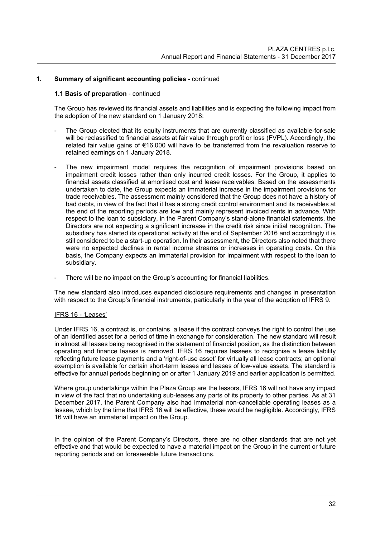## **1.1 Basis of preparation** - continued

The Group has reviewed its financial assets and liabilities and is expecting the following impact from the adoption of the new standard on 1 January 2018:

- The Group elected that its equity instruments that are currently classified as available-for-sale will be reclassified to financial assets at fair value through profit or loss (FVPL). Accordingly, the related fair value gains of €16,000 will have to be transferred from the revaluation reserve to retained earnings on 1 January 2018.
- The new impairment model requires the recognition of impairment provisions based on impairment credit losses rather than only incurred credit losses. For the Group, it applies to financial assets classified at amortised cost and lease receivables. Based on the assessments undertaken to date, the Group expects an immaterial increase in the impairment provisions for trade receivables. The assessment mainly considered that the Group does not have a history of bad debts, in view of the fact that it has a strong credit control environment and its receivables at the end of the reporting periods are low and mainly represent invoiced rents in advance. With respect to the loan to subsidiary, in the Parent Company's stand-alone financial statements, the Directors are not expecting a significant increase in the credit risk since initial recognition. The subsidiary has started its operational activity at the end of September 2016 and accordingly it is still considered to be a start-up operation. In their assessment, the Directors also noted that there were no expected declines in rental income streams or increases in operating costs. On this basis, the Company expects an immaterial provision for impairment with respect to the loan to subsidiary.
- There will be no impact on the Group's accounting for financial liabilities.

The new standard also introduces expanded disclosure requirements and changes in presentation with respect to the Group's financial instruments, particularly in the year of the adoption of IFRS 9.

## IFRS 16 - 'Leases'

Under IFRS 16, a contract is, or contains, a lease if the contract conveys the right to control the use of an identified asset for a period of time in exchange for consideration. The new standard will result in almost all leases being recognised in the statement of financial position, as the distinction between operating and finance leases is removed. IFRS 16 requires lessees to recognise a lease liability reflecting future lease payments and a 'right-of-use asset' for virtually all lease contracts; an optional exemption is available for certain short-term leases and leases of low-value assets. The standard is effective for annual periods beginning on or after 1 January 2019 and earlier application is permitted.

Where group undertakings within the Plaza Group are the lessors, IFRS 16 will not have any impact in view of the fact that no undertaking sub-leases any parts of its property to other parties. As at 31 December 2017, the Parent Company also had immaterial non-cancellable operating leases as a lessee, which by the time that IFRS 16 will be effective, these would be negligible. Accordingly, IFRS 16 will have an immaterial impact on the Group.

In the opinion of the Parent Company's Directors, there are no other standards that are not yet effective and that would be expected to have a material impact on the Group in the current or future reporting periods and on foreseeable future transactions.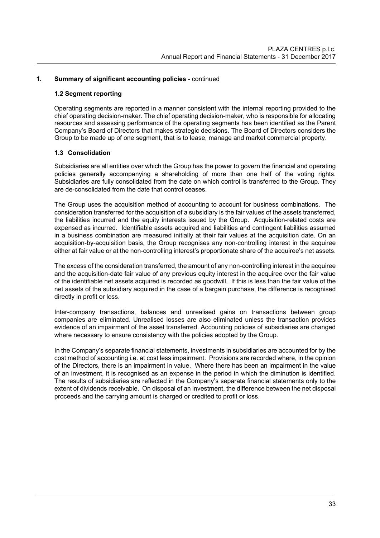## **1.2 Segment reporting**

Operating segments are reported in a manner consistent with the internal reporting provided to the chief operating decision-maker. The chief operating decision-maker, who is responsible for allocating resources and assessing performance of the operating segments has been identified as the Parent Company's Board of Directors that makes strategic decisions. The Board of Directors considers the Group to be made up of one segment, that is to lease, manage and market commercial property.

## **1.3 Consolidation**

Subsidiaries are all entities over which the Group has the power to govern the financial and operating policies generally accompanying a shareholding of more than one half of the voting rights. Subsidiaries are fully consolidated from the date on which control is transferred to the Group. They are de-consolidated from the date that control ceases.

The Group uses the acquisition method of accounting to account for business combinations. The consideration transferred for the acquisition of a subsidiary is the fair values of the assets transferred, the liabilities incurred and the equity interests issued by the Group. Acquisition-related costs are expensed as incurred. Identifiable assets acquired and liabilities and contingent liabilities assumed in a business combination are measured initially at their fair values at the acquisition date. On an acquisition-by-acquisition basis, the Group recognises any non-controlling interest in the acquiree either at fair value or at the non-controlling interest's proportionate share of the acquiree's net assets.

The excess of the consideration transferred, the amount of any non-controlling interest in the acquiree and the acquisition-date fair value of any previous equity interest in the acquiree over the fair value of the identifiable net assets acquired is recorded as goodwill. If this is less than the fair value of the net assets of the subsidiary acquired in the case of a bargain purchase, the difference is recognised directly in profit or loss.

Inter-company transactions, balances and unrealised gains on transactions between group companies are eliminated. Unrealised losses are also eliminated unless the transaction provides evidence of an impairment of the asset transferred. Accounting policies of subsidiaries are changed where necessary to ensure consistency with the policies adopted by the Group.

In the Company's separate financial statements, investments in subsidiaries are accounted for by the cost method of accounting i.e. at cost less impairment. Provisions are recorded where, in the opinion of the Directors, there is an impairment in value. Where there has been an impairment in the value of an investment, it is recognised as an expense in the period in which the diminution is identified. The results of subsidiaries are reflected in the Company's separate financial statements only to the extent of dividends receivable. On disposal of an investment, the difference between the net disposal proceeds and the carrying amount is charged or credited to profit or loss.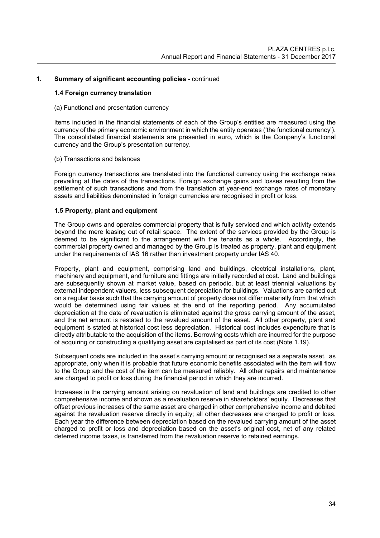#### **1.4 Foreign currency translation**

#### (a) Functional and presentation currency

Items included in the financial statements of each of the Group's entities are measured using the currency of the primary economic environment in which the entity operates ('the functional currency'). The consolidated financial statements are presented in euro, which is the Company's functional currency and the Group's presentation currency.

#### (b) Transactions and balances

Foreign currency transactions are translated into the functional currency using the exchange rates prevailing at the dates of the transactions. Foreign exchange gains and losses resulting from the settlement of such transactions and from the translation at year-end exchange rates of monetary assets and liabilities denominated in foreign currencies are recognised in profit or loss.

## **1.5 Property, plant and equipment**

The Group owns and operates commercial property that is fully serviced and which activity extends beyond the mere leasing out of retail space. The extent of the services provided by the Group is deemed to be significant to the arrangement with the tenants as a whole. Accordingly, the commercial property owned and managed by the Group is treated as property, plant and equipment under the requirements of IAS 16 rather than investment property under IAS 40.

 Property, plant and equipment, comprising land and buildings, electrical installations, plant, machinery and equipment, and furniture and fittings are initially recorded at cost. Land and buildings are subsequently shown at market value, based on periodic, but at least triennial valuations by external independent valuers, less subsequent depreciation for buildings. Valuations are carried out on a regular basis such that the carrying amount of property does not differ materially from that which would be determined using fair values at the end of the reporting period. Any accumulated depreciation at the date of revaluation is eliminated against the gross carrying amount of the asset, and the net amount is restated to the revalued amount of the asset. All other property, plant and equipment is stated at historical cost less depreciation. Historical cost includes expenditure that is directly attributable to the acquisition of the items. Borrowing costs which are incurred for the purpose of acquiring or constructing a qualifying asset are capitalised as part of its cost (Note 1.19).

 Subsequent costs are included in the asset's carrying amount or recognised as a separate asset, as appropriate, only when it is probable that future economic benefits associated with the item will flow to the Group and the cost of the item can be measured reliably. All other repairs and maintenance are charged to profit or loss during the financial period in which they are incurred.

 Increases in the carrying amount arising on revaluation of land and buildings are credited to other comprehensive income and shown as a revaluation reserve in shareholders' equity. Decreases that offset previous increases of the same asset are charged in other comprehensive income and debited against the revaluation reserve directly in equity; all other decreases are charged to profit or loss. Each year the difference between depreciation based on the revalued carrying amount of the asset charged to profit or loss and depreciation based on the asset's original cost, net of any related deferred income taxes, is transferred from the revaluation reserve to retained earnings.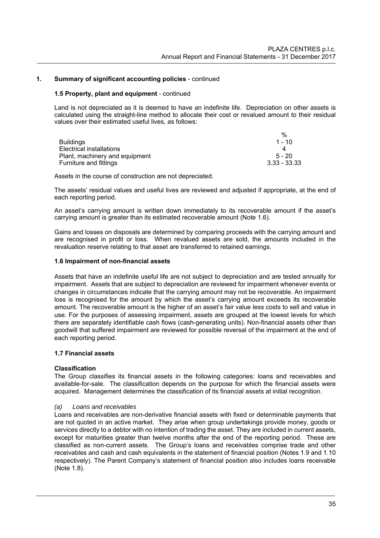#### **1.5 Property, plant and equipment** - continued

Land is not depreciated as it is deemed to have an indefinite life. Depreciation on other assets is calculated using the straight-line method to allocate their cost or revalued amount to their residual values over their estimated useful lives, as follows:

|                                | %              |
|--------------------------------|----------------|
| <b>Buildings</b>               | $1 - 10$       |
| Electrical installations       |                |
| Plant, machinery and equipment | $5 - 20$       |
| Furniture and fittings         | $3.33 - 33.33$ |

Assets in the course of construction are not depreciated.

The assets' residual values and useful lives are reviewed and adjusted if appropriate, at the end of each reporting period.

An asset's carrying amount is written down immediately to its recoverable amount if the asset's carrying amount is greater than its estimated recoverable amount (Note 1.6).

Gains and losses on disposals are determined by comparing proceeds with the carrying amount and are recognised in profit or loss. When revalued assets are sold, the amounts included in the revaluation reserve relating to that asset are transferred to retained earnings.

#### **1.6 Impairment of non-financial assets**

Assets that have an indefinite useful life are not subject to depreciation and are tested annually for impairment. Assets that are subject to depreciation are reviewed for impairment whenever events or changes in circumstances indicate that the carrying amount may not be recoverable. An impairment loss is recognised for the amount by which the asset's carrying amount exceeds its recoverable amount. The recoverable amount is the higher of an asset's fair value less costs to sell and value in use. For the purposes of assessing impairment, assets are grouped at the lowest levels for which there are separately identifiable cash flows (cash-generating units). Non-financial assets other than goodwill that suffered impairment are reviewed for possible reversal of the impairment at the end of each reporting period.

# **1.7 Financial assets**

## **Classification**

The Group classifies its financial assets in the following categories: loans and receivables and available-for-sale. The classification depends on the purpose for which the financial assets were acquired. Management determines the classification of its financial assets at initial recognition.

## *(a) Loans and receivables*

Loans and receivables are non-derivative financial assets with fixed or determinable payments that are not quoted in an active market. They arise when group undertakings provide money, goods or services directly to a debtor with no intention of trading the asset. They are included in current assets, except for maturities greater than twelve months after the end of the reporting period. These are classified as non-current assets. The Group's loans and receivables comprise trade and other receivables and cash and cash equivalents in the statement of financial position (Notes 1.9 and 1.10 respectively). The Parent Company's statement of financial position also includes loans receivable (Note 1.8).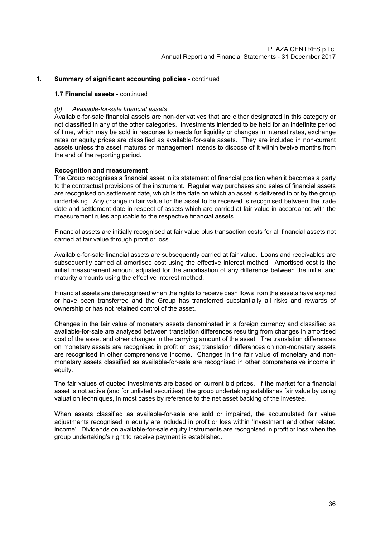# **1.7 Financial assets** - continued

#### *(b) Available-for-sale financial assets*

Available-for-sale financial assets are non-derivatives that are either designated in this category or not classified in any of the other categories. Investments intended to be held for an indefinite period of time, which may be sold in response to needs for liquidity or changes in interest rates, exchange rates or equity prices are classified as available-for-sale assets. They are included in non-current assets unless the asset matures or management intends to dispose of it within twelve months from the end of the reporting period.

#### **Recognition and measurement**

The Group recognises a financial asset in its statement of financial position when it becomes a party to the contractual provisions of the instrument. Regular way purchases and sales of financial assets are recognised on settlement date, which is the date on which an asset is delivered to or by the group undertaking. Any change in fair value for the asset to be received is recognised between the trade date and settlement date in respect of assets which are carried at fair value in accordance with the measurement rules applicable to the respective financial assets.

Financial assets are initially recognised at fair value plus transaction costs for all financial assets not carried at fair value through profit or loss.

Available-for-sale financial assets are subsequently carried at fair value. Loans and receivables are subsequently carried at amortised cost using the effective interest method. Amortised cost is the initial measurement amount adjusted for the amortisation of any difference between the initial and maturity amounts using the effective interest method.

Financial assets are derecognised when the rights to receive cash flows from the assets have expired or have been transferred and the Group has transferred substantially all risks and rewards of ownership or has not retained control of the asset.

Changes in the fair value of monetary assets denominated in a foreign currency and classified as available-for-sale are analysed between translation differences resulting from changes in amortised cost of the asset and other changes in the carrying amount of the asset. The translation differences on monetary assets are recognised in profit or loss; translation differences on non-monetary assets are recognised in other comprehensive income. Changes in the fair value of monetary and nonmonetary assets classified as available-for-sale are recognised in other comprehensive income in equity.

The fair values of quoted investments are based on current bid prices. If the market for a financial asset is not active (and for unlisted securities), the group undertaking establishes fair value by using valuation techniques, in most cases by reference to the net asset backing of the investee.

When assets classified as available-for-sale are sold or impaired, the accumulated fair value adjustments recognised in equity are included in profit or loss within 'Investment and other related income'. Dividends on available-for-sale equity instruments are recognised in profit or loss when the group undertaking's right to receive payment is established.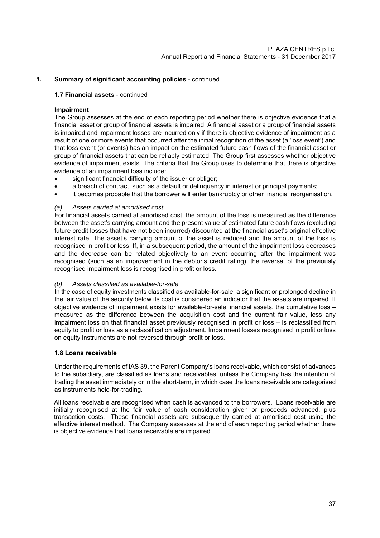## **1.7 Financial assets** - continued

# **Impairment**

The Group assesses at the end of each reporting period whether there is objective evidence that a financial asset or group of financial assets is impaired. A financial asset or a group of financial assets is impaired and impairment losses are incurred only if there is objective evidence of impairment as a result of one or more events that occurred after the initial recognition of the asset (a 'loss event') and that loss event (or events) has an impact on the estimated future cash flows of the financial asset or group of financial assets that can be reliably estimated. The Group first assesses whether objective evidence of impairment exists. The criteria that the Group uses to determine that there is objective evidence of an impairment loss include:

- significant financial difficulty of the issuer or obligor;
- a breach of contract, such as a default or delinquency in interest or principal payments;
- it becomes probable that the borrower will enter bankruptcy or other financial reorganisation.

## *(a) Assets carried at amortised cost*

For financial assets carried at amortised cost, the amount of the loss is measured as the difference between the asset's carrying amount and the present value of estimated future cash flows (excluding future credit losses that have not been incurred) discounted at the financial asset's original effective interest rate. The asset's carrying amount of the asset is reduced and the amount of the loss is recognised in profit or loss. If, in a subsequent period, the amount of the impairment loss decreases and the decrease can be related objectively to an event occurring after the impairment was recognised (such as an improvement in the debtor's credit rating), the reversal of the previously recognised impairment loss is recognised in profit or loss.

## *(b) Assets classified as available-for-sale*

In the case of equity investments classified as available-for-sale, a significant or prolonged decline in the fair value of the security below its cost is considered an indicator that the assets are impaired. If objective evidence of impairment exists for available-for-sale financial assets, the cumulative loss – measured as the difference between the acquisition cost and the current fair value, less any impairment loss on that financial asset previously recognised in profit or loss – is reclassified from equity to profit or loss as a reclassification adjustment. Impairment losses recognised in profit or loss on equity instruments are not reversed through profit or loss.

## **1.8 Loans receivable**

Under the requirements of IAS 39, the Parent Company's loans receivable, which consist of advances to the subsidiary, are classified as loans and receivables, unless the Company has the intention of trading the asset immediately or in the short-term, in which case the loans receivable are categorised as instruments held-for-trading.

All loans receivable are recognised when cash is advanced to the borrowers. Loans receivable are initially recognised at the fair value of cash consideration given or proceeds advanced, plus transaction costs. These financial assets are subsequently carried at amortised cost using the effective interest method. The Company assesses at the end of each reporting period whether there is objective evidence that loans receivable are impaired.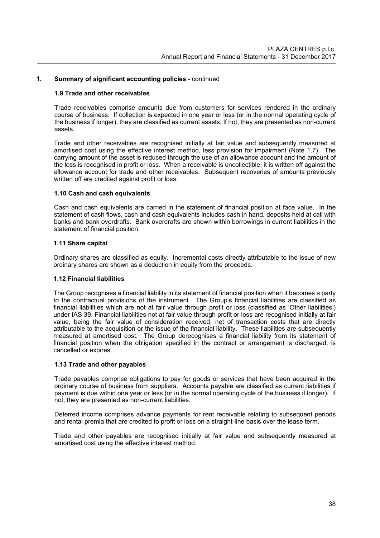#### **1.9 Trade and other receivables**

Trade receivables comprise amounts due from customers for services rendered in the ordinary course of business. If collection is expected in one year or less (or in the normal operating cycle of the business if longer), they are classified as current assets. If not, they are presented as non-current assets.

Trade and other receivables are recognised initially at fair value and subsequently measured at amortised cost using the effective interest method, less provision for impairment (Note 1.7). The carrying amount of the asset is reduced through the use of an allowance account and the amount of the loss is recognised in profit or loss. When a receivable is uncollectible, it is written off against the allowance account for trade and other receivables. Subsequent recoveries of amounts previously written off are credited against profit or loss.

#### **1.10 Cash and cash equivalents**

Cash and cash equivalents are carried in the statement of financial position at face value. In the statement of cash flows, cash and cash equivalents includes cash in hand, deposits held at call with banks and bank overdrafts. Bank overdrafts are shown within borrowings in current liabilities in the statement of financial position.

#### **1.11 Share capital**

Ordinary shares are classified as equity. Incremental costs directly attributable to the issue of new ordinary shares are shown as a deduction in equity from the proceeds.

#### **1.12 Financial liabilities**

The Group recognises a financial liability in its statement of financial position when it becomes a party to the contractual provisions of the instrument. The Group's financial liabilities are classified as financial liabilities which are not at fair value through profit or loss (classified as 'Other liabilities') under IAS 39. Financial liabilities not at fair value through profit or loss are recognised initially at fair value, being the fair value of consideration received, net of transaction costs that are directly attributable to the acquisition or the issue of the financial liability. These liabilities are subsequently measured at amortised cost. The Group derecognises a financial liability from its statement of financial position when the obligation specified in the contract or arrangement is discharged, is cancelled or expires.

#### **1.13 Trade and other payables**

Trade payables comprise obligations to pay for goods or services that have been acquired in the ordinary course of business from suppliers. Accounts payable are classified as current liabilities if payment is due within one year or less (or in the normal operating cycle of the business if longer). If not, they are presented as non-current liabilities.

Deferred income comprises advance payments for rent receivable relating to subsequent periods and rental premia that are credited to profit or loss on a straight-line basis over the lease term.

Trade and other payables are recognised initially at fair value and subsequently measured at amortised cost using the effective interest method.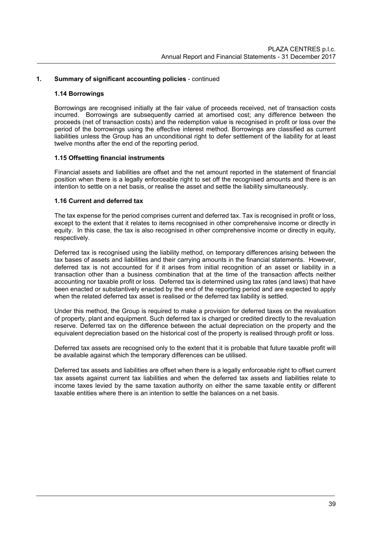#### **1.14 Borrowings**

Borrowings are recognised initially at the fair value of proceeds received, net of transaction costs incurred. Borrowings are subsequently carried at amortised cost; any difference between the proceeds (net of transaction costs) and the redemption value is recognised in profit or loss over the period of the borrowings using the effective interest method. Borrowings are classified as current liabilities unless the Group has an unconditional right to defer settlement of the liability for at least twelve months after the end of the reporting period.

## **1.15 Offsetting financial instruments**

Financial assets and liabilities are offset and the net amount reported in the statement of financial position when there is a legally enforceable right to set off the recognised amounts and there is an intention to settle on a net basis, or realise the asset and settle the liability simultaneously.

#### **1.16 Current and deferred tax**

The tax expense for the period comprises current and deferred tax. Tax is recognised in profit or loss, except to the extent that it relates to items recognised in other comprehensive income or directly in equity. In this case, the tax is also recognised in other comprehensive income or directly in equity, respectively.

Deferred tax is recognised using the liability method, on temporary differences arising between the tax bases of assets and liabilities and their carrying amounts in the financial statements. However, deferred tax is not accounted for if it arises from initial recognition of an asset or liability in a transaction other than a business combination that at the time of the transaction affects neither accounting nor taxable profit or loss. Deferred tax is determined using tax rates (and laws) that have been enacted or substantively enacted by the end of the reporting period and are expected to apply when the related deferred tax asset is realised or the deferred tax liability is settled.

Under this method, the Group is required to make a provision for deferred taxes on the revaluation of property, plant and equipment. Such deferred tax is charged or credited directly to the revaluation reserve. Deferred tax on the difference between the actual depreciation on the property and the equivalent depreciation based on the historical cost of the property is realised through profit or loss.

Deferred tax assets are recognised only to the extent that it is probable that future taxable profit will be available against which the temporary differences can be utilised.

Deferred tax assets and liabilities are offset when there is a legally enforceable right to offset current tax assets against current tax liabilities and when the deferred tax assets and liabilities relate to income taxes levied by the same taxation authority on either the same taxable entity or different taxable entities where there is an intention to settle the balances on a net basis.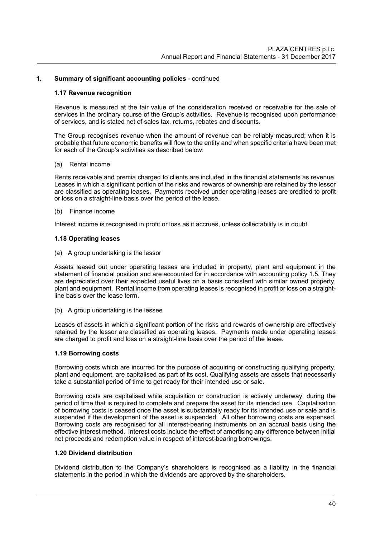#### **1.17 Revenue recognition**

 Revenue is measured at the fair value of the consideration received or receivable for the sale of services in the ordinary course of the Group's activities. Revenue is recognised upon performance of services, and is stated net of sales tax, returns, rebates and discounts.

The Group recognises revenue when the amount of revenue can be reliably measured; when it is probable that future economic benefits will flow to the entity and when specific criteria have been met for each of the Group's activities as described below:

#### (a) Rental income

Rents receivable and premia charged to clients are included in the financial statements as revenue. Leases in which a significant portion of the risks and rewards of ownership are retained by the lessor are classified as operating leases. Payments received under operating leases are credited to profit or loss on a straight-line basis over the period of the lease.

#### (b) Finance income

Interest income is recognised in profit or loss as it accrues, unless collectability is in doubt.

#### **1.18 Operating leases**

(a) A group undertaking is the lessor

Assets leased out under operating leases are included in property, plant and equipment in the statement of financial position and are accounted for in accordance with accounting policy 1.5. They are depreciated over their expected useful lives on a basis consistent with similar owned property, plant and equipment. Rental income from operating leases is recognised in profit or loss on a straightline basis over the lease term.

(b) A group undertaking is the lessee

Leases of assets in which a significant portion of the risks and rewards of ownership are effectively retained by the lessor are classified as operating leases. Payments made under operating leases are charged to profit and loss on a straight-line basis over the period of the lease.

#### **1.19 Borrowing costs**

Borrowing costs which are incurred for the purpose of acquiring or constructing qualifying property, plant and equipment, are capitalised as part of its cost. Qualifying assets are assets that necessarily take a substantial period of time to get ready for their intended use or sale.

Borrowing costs are capitalised while acquisition or construction is actively underway, during the period of time that is required to complete and prepare the asset for its intended use. Capitalisation of borrowing costs is ceased once the asset is substantially ready for its intended use or sale and is suspended if the development of the asset is suspended. All other borrowing costs are expensed. Borrowing costs are recognised for all interest-bearing instruments on an accrual basis using the effective interest method. Interest costs include the effect of amortising any difference between initial net proceeds and redemption value in respect of interest-bearing borrowings.

#### **1.20 Dividend distribution**

Dividend distribution to the Company's shareholders is recognised as a liability in the financial statements in the period in which the dividends are approved by the shareholders.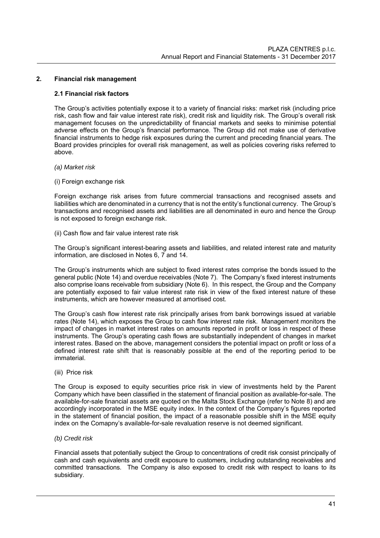#### **2. Financial risk management**

#### **2.1 Financial risk factors**

The Group's activities potentially expose it to a variety of financial risks: market risk (including price risk, cash flow and fair value interest rate risk), credit risk and liquidity risk. The Group's overall risk management focuses on the unpredictability of financial markets and seeks to minimise potential adverse effects on the Group's financial performance. The Group did not make use of derivative financial instruments to hedge risk exposures during the current and preceding financial years. The Board provides principles for overall risk management, as well as policies covering risks referred to above.

#### *(a) Market risk*

(i) Foreign exchange risk

Foreign exchange risk arises from future commercial transactions and recognised assets and liabilities which are denominated in a currency that is not the entity's functional currency. The Group's transactions and recognised assets and liabilities are all denominated in euro and hence the Group is not exposed to foreign exchange risk.

(ii) Cash flow and fair value interest rate risk

The Group's significant interest-bearing assets and liabilities, and related interest rate and maturity information, are disclosed in Notes 6, 7 and 14.

The Group's instruments which are subject to fixed interest rates comprise the bonds issued to the general public (Note 14) and overdue receivables (Note 7). The Company's fixed interest instruments also comprise loans receivable from subsidiary (Note 6). In this respect, the Group and the Company are potentially exposed to fair value interest rate risk in view of the fixed interest nature of these instruments, which are however measured at amortised cost.

The Group's cash flow interest rate risk principally arises from bank borrowings issued at variable rates (Note 14), which exposes the Group to cash flow interest rate risk. Management monitors the impact of changes in market interest rates on amounts reported in profit or loss in respect of these instruments. The Group's operating cash flows are substantially independent of changes in market interest rates. Based on the above, management considers the potential impact on profit or loss of a defined interest rate shift that is reasonably possible at the end of the reporting period to be immaterial.

(iii) Price risk

The Group is exposed to equity securities price risk in view of investments held by the Parent Company which have been classified in the statement of financial position as available-for-sale. The available-for-sale financial assets are quoted on the Malta Stock Exchange (refer to Note 8) and are accordingly incorporated in the MSE equity index. In the context of the Company's figures reported in the statement of financial position, the impact of a reasonable possible shift in the MSE equity index on the Comapny's available-for-sale revaluation reserve is not deemed significant.

#### *(b) Credit risk*

Financial assets that potentially subject the Group to concentrations of credit risk consist principally of cash and cash equivalents and credit exposure to customers, including outstanding receivables and committed transactions. The Company is also exposed to credit risk with respect to loans to its subsidiary.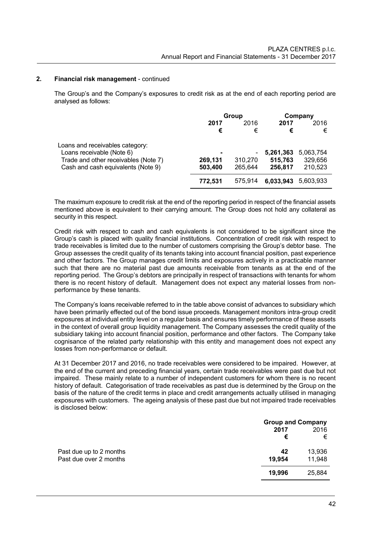#### **2. Financial risk management** - continued

The Group's and the Company's exposures to credit risk as at the end of each reporting period are analysed as follows:

|                                                                                                                                            | Group              |                                                |                                 | Company                         |
|--------------------------------------------------------------------------------------------------------------------------------------------|--------------------|------------------------------------------------|---------------------------------|---------------------------------|
|                                                                                                                                            | 2017<br>€          | 2016<br>€                                      | 2017<br>€                       | 2016<br>€                       |
| Loans and receivables category:<br>Loans receivable (Note 6)<br>Trade and other receivables (Note 7)<br>Cash and cash equivalents (Note 9) | 269,131<br>503,400 | $\overline{\phantom{a}}$<br>310,270<br>265,644 | 5,261,363<br>515,763<br>256,817 | 5,063,754<br>329,656<br>210,523 |
|                                                                                                                                            | 772,531            | 575.914                                        | 6,033,943                       | 5.603.933                       |

The maximum exposure to credit risk at the end of the reporting period in respect of the financial assets mentioned above is equivalent to their carrying amount. The Group does not hold any collateral as security in this respect.

Credit risk with respect to cash and cash equivalents is not considered to be significant since the Group's cash is placed with quality financial institutions. Concentration of credit risk with respect to trade receivables is limited due to the number of customers comprising the Group's debtor base. The Group assesses the credit quality of its tenants taking into account financial position, past experience and other factors. The Group manages credit limits and exposures actively in a practicable manner such that there are no material past due amounts receivable from tenants as at the end of the reporting period. The Group's debtors are principally in respect of transactions with tenants for whom there is no recent history of default. Management does not expect any material losses from nonperformance by these tenants.

The Company's loans receivable referred to in the table above consist of advances to subsidiary which have been primarily effected out of the bond issue proceeds. Management monitors intra-group credit exposures at individual entity level on a regular basis and ensures timely performance of these assets in the context of overall group liquidity management. The Company assesses the credit quality of the subsidiary taking into account financial position, performance and other factors. The Company take cognisance of the related party relationship with this entity and management does not expect any losses from non-performance or default.

At 31 December 2017 and 2016, no trade receivables were considered to be impaired. However, at the end of the current and preceding financial years, certain trade receivables were past due but not impaired. These mainly relate to a number of independent customers for whom there is no recent history of default. Categorisation of trade receivables as past due is determined by the Group on the basis of the nature of the credit terms in place and credit arrangements actually utilised in managing exposures with customers. The ageing analysis of these past due but not impaired trade receivables is disclosed below:

|                         | <b>Group and Company</b> |        |  |
|-------------------------|--------------------------|--------|--|
|                         | 2017                     | 2016   |  |
|                         | €                        | €      |  |
| Past due up to 2 months | 42                       | 13,936 |  |
| Past due over 2 months  | 19,954                   | 11,948 |  |
|                         | 19,996                   | 25,884 |  |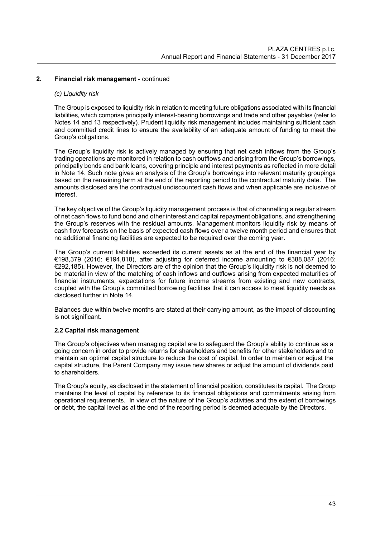## **2. Financial risk management** - continued

#### *(c) Liquidity risk*

The Group is exposed to liquidity risk in relation to meeting future obligations associated with its financial liabilities, which comprise principally interest-bearing borrowings and trade and other payables (refer to Notes 14 and 13 respectively). Prudent liquidity risk management includes maintaining sufficient cash and committed credit lines to ensure the availability of an adequate amount of funding to meet the Group's obligations.

The Group's liquidity risk is actively managed by ensuring that net cash inflows from the Group's trading operations are monitored in relation to cash outflows and arising from the Group's borrowings, principally bonds and bank loans, covering principle and interest payments as reflected in more detail in Note 14. Such note gives an analysis of the Group's borrowings into relevant maturity groupings based on the remaining term at the end of the reporting period to the contractual maturity date. The amounts disclosed are the contractual undiscounted cash flows and when applicable are inclusive of interest.

The key objective of the Group's liquidity management process is that of channelling a regular stream of net cash flows to fund bond and other interest and capital repayment obligations, and strengthening the Group's reserves with the residual amounts. Management monitors liquidity risk by means of cash flow forecasts on the basis of expected cash flows over a twelve month period and ensures that no additional financing facilities are expected to be required over the coming year.

The Group's current liabilities exceeded its current assets as at the end of the financial year by €198,379 (2016: €194,818), after adjusting for deferred income amounting to €388,087 (2016: €292,185). However, the Directors are of the opinion that the Group's liquidity risk is not deemed to be material in view of the matching of cash inflows and outflows arising from expected maturities of financial instruments, expectations for future income streams from existing and new contracts, coupled with the Group's committed borrowing facilities that it can access to meet liquidity needs as disclosed further in Note 14.

Balances due within twelve months are stated at their carrying amount, as the impact of discounting is not significant.

## **2.2 Capital risk management**

The Group's objectives when managing capital are to safeguard the Group's ability to continue as a going concern in order to provide returns for shareholders and benefits for other stakeholders and to maintain an optimal capital structure to reduce the cost of capital. In order to maintain or adjust the capital structure, the Parent Company may issue new shares or adjust the amount of dividends paid to shareholders.

The Group's equity, as disclosed in the statement of financial position, constitutes its capital. The Group maintains the level of capital by reference to its financial obligations and commitments arising from operational requirements. In view of the nature of the Group's activities and the extent of borrowings or debt, the capital level as at the end of the reporting period is deemed adequate by the Directors.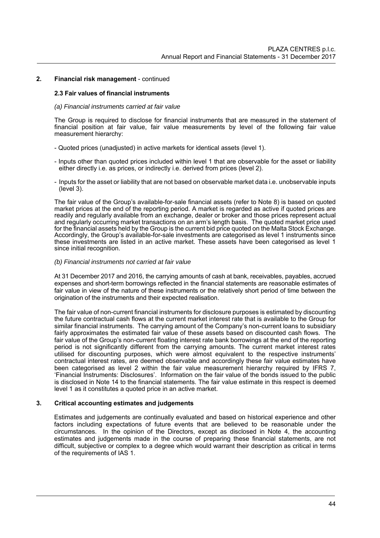#### **2. Financial risk management** - continued

#### **2.3 Fair values of financial instruments**

#### *(a) Financial instruments carried at fair value*

The Group is required to disclose for financial instruments that are measured in the statement of financial position at fair value, fair value measurements by level of the following fair value measurement hierarchy:

- Quoted prices (unadjusted) in active markets for identical assets (level 1).
- Inputs other than quoted prices included within level 1 that are observable for the asset or liability either directly i.e. as prices, or indirectly i.e. derived from prices (level 2).
- Inputs for the asset or liability that are not based on observable market data i.e. unobservable inputs (level 3).

The fair value of the Group's available-for-sale financial assets (refer to Note 8) is based on quoted market prices at the end of the reporting period. A market is regarded as active if quoted prices are readily and regularly available from an exchange, dealer or broker and those prices represent actual and regularly occurring market transactions on an arm's length basis. The quoted market price used for the financial assets held by the Group is the current bid price quoted on the Malta Stock Exchange. Accordingly, the Group's available-for-sale investments are categorised as level 1 instruments since these investments are listed in an active market. These assets have been categorised as level 1 since initial recognition.

#### *(b) Financial instruments not carried at fair value*

At 31 December 2017 and 2016, the carrying amounts of cash at bank, receivables, payables, accrued expenses and short-term borrowings reflected in the financial statements are reasonable estimates of fair value in view of the nature of these instruments or the relatively short period of time between the origination of the instruments and their expected realisation.

The fair value of non-current financial instruments for disclosure purposes is estimated by discounting the future contractual cash flows at the current market interest rate that is available to the Group for similar financial instruments. The carrying amount of the Company's non-current loans to subsidiary fairly approximates the estimated fair value of these assets based on discounted cash flows. The fair value of the Group's non-current floating interest rate bank borrowings at the end of the reporting period is not significantly different from the carrying amounts. The current market interest rates utilised for discounting purposes, which were almost equivalent to the respective instruments' contractual interest rates, are deemed observable and accordingly these fair value estimates have been categorised as level 2 within the fair value measurement hierarchy required by IFRS 7, 'Financial Instruments: Disclosures'. Information on the fair value of the bonds issued to the public is disclosed in Note 14 to the financial statements. The fair value estimate in this respect is deemed level 1 as it constitutes a quoted price in an active market.

## **3. Critical accounting estimates and judgements**

Estimates and judgements are continually evaluated and based on historical experience and other factors including expectations of future events that are believed to be reasonable under the circumstances. In the opinion of the Directors, except as disclosed in Note 4, the accounting estimates and judgements made in the course of preparing these financial statements, are not difficult, subjective or complex to a degree which would warrant their description as critical in terms of the requirements of IAS 1.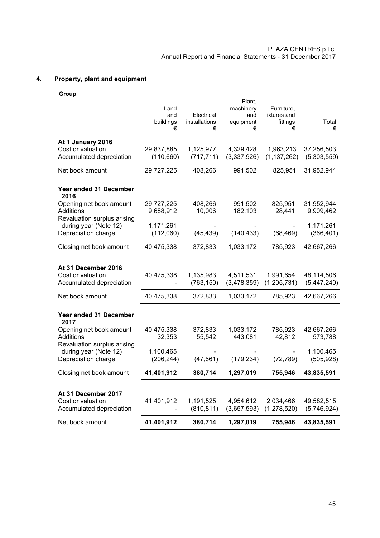# **4. Property, plant and equipment**

**Group** 

|                                                      |                         |               | Plant,           |                            |                         |
|------------------------------------------------------|-------------------------|---------------|------------------|----------------------------|-------------------------|
|                                                      | Land<br>and             | Electrical    | machinery<br>and | Furniture,<br>fixtures and |                         |
|                                                      | buildings               | installations | equipment        | fittings                   | Total                   |
|                                                      | €                       | €             | €                | €                          | €                       |
| At 1 January 2016                                    |                         |               |                  |                            |                         |
| Cost or valuation                                    | 29,837,885              | 1,125,977     | 4,329,428        | 1,963,213                  | 37,256,503              |
| Accumulated depreciation                             | (110, 660)              | (717, 711)    | (3,337,926)      | (1, 137, 262)              | (5,303,559)             |
| Net book amount                                      | 29,727,225              | 408,266       | 991,502          | 825,951                    | 31,952,944              |
| Year ended 31 December                               |                         |               |                  |                            |                         |
| 2016                                                 |                         |               |                  |                            |                         |
| Opening net book amount                              | 29,727,225              | 408,266       | 991,502          | 825,951                    | 31,952,944              |
| Additions                                            | 9,688,912               | 10,006        | 182,103          | 28,441                     | 9,909,462               |
| Revaluation surplus arising<br>during year (Note 12) | 1,171,261               |               |                  |                            | 1,171,261               |
| Depreciation charge                                  | (112,060)               | (45, 439)     | (140, 433)       | (68, 469)                  | (366, 401)              |
|                                                      |                         |               |                  |                            |                         |
| Closing net book amount                              | 40,475,338              | 372,833       | 1,033,172        | 785,923                    | 42,667,266              |
|                                                      |                         |               |                  |                            |                         |
| At 31 December 2016                                  |                         |               |                  |                            |                         |
| Cost or valuation                                    | 40,475,338              | 1,135,983     | 4,511,531        | 1,991,654                  | 48,114,506              |
| Accumulated depreciation                             |                         | (763, 150)    | (3,478,359)      | (1, 205, 731)              | (5,447,240)             |
| Net book amount                                      | 40,475,338              | 372,833       | 1,033,172        | 785,923                    | 42,667,266              |
| <b>Year ended 31 December</b>                        |                         |               |                  |                            |                         |
| 2017                                                 |                         |               |                  |                            |                         |
| Opening net book amount                              | 40,475,338              | 372,833       | 1,033,172        | 785,923                    | 42,667,266              |
| Additions                                            | 32,353                  | 55,542        | 443,081          | 42,812                     | 573,788                 |
| Revaluation surplus arising                          |                         |               |                  |                            |                         |
| during year (Note 12)<br>Depreciation charge         | 1,100,465<br>(206, 244) | (47,661)      | (179, 234)       | (72, 789)                  | 1,100,465<br>(505, 928) |
|                                                      |                         |               |                  |                            |                         |
| Closing net book amount                              | 41,401,912              | 380,714       | 1,297,019        | 755,946                    | 43,835,591              |
|                                                      |                         |               |                  |                            |                         |
| At 31 December 2017<br>Cost or valuation             | 41,401,912              | 1,191,525     | 4,954,612        | 2,034,466                  | 49,582,515              |
| Accumulated depreciation                             |                         | (810, 811)    | (3,657,593)      | (1,278,520)                | (5,746,924)             |
|                                                      |                         |               |                  |                            |                         |
| Net book amount                                      | 41,401,912              | 380,714       | 1,297,019        | 755,946                    | 43,835,591              |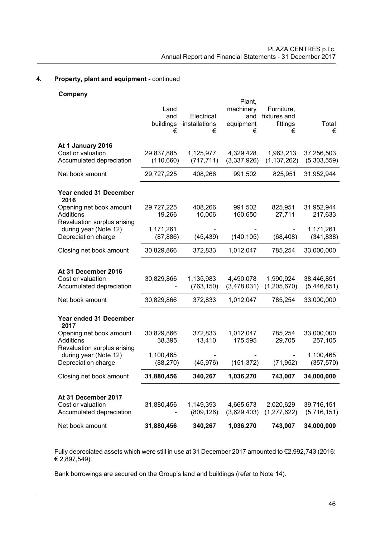# **4. Property, plant and equipment** - continued

## **Company**

| Net book amount                                                               | 31,880,456                    | 340,267                          | 1,036,270                                    | 743,007                                     | 34,000,000                |
|-------------------------------------------------------------------------------|-------------------------------|----------------------------------|----------------------------------------------|---------------------------------------------|---------------------------|
| At 31 December 2017<br>Cost or valuation<br>Accumulated depreciation          | 31,880,456                    | 1,149,393<br>(809, 126)          | 4,665,673<br>(3,629,403)                     | 2,020,629<br>(1, 277, 622)                  | 39,716,151<br>(5,716,151) |
| Closing net book amount                                                       | 31,880,456                    | 340,267                          | 1,036,270                                    | 743,007                                     | 34,000,000                |
| Revaluation surplus arising<br>during year (Note 12)<br>Depreciation charge   | 1,100,465<br>(88, 270)        | (45, 976)                        | (151, 372)                                   | (71, 952)                                   | 1,100,465<br>(357, 570)   |
| Year ended 31 December<br>2017<br>Opening net book amount<br>Additions        | 30,829,866<br>38,395          | 372,833<br>13,410                | 1,012,047<br>175,595                         | 785,254<br>29,705                           | 33,000,000<br>257,105     |
| Net book amount                                                               | 30,829,866                    | 372,833                          | 1,012,047                                    | 785,254                                     | 33,000,000                |
| At 31 December 2016<br>Cost or valuation<br>Accumulated depreciation          | 30,829,866                    | 1,135,983<br>(763, 150)          | 4,490,078<br>(3,478,031)                     | 1,990,924<br>(1,205,670)                    | 38,446,851<br>(5,446,851) |
| Closing net book amount                                                       | 30,829,866                    | 372,833                          | 1,012,047                                    | 785,254                                     | 33,000,000                |
| Revaluation surplus arising<br>during year (Note 12)<br>Depreciation charge   | 1,171,261<br>(87, 886)        | (45, 439)                        | (140, 105)                                   | (68, 408)                                   | 1,171,261<br>(341, 838)   |
| <b>Year ended 31 December</b><br>2016<br>Opening net book amount<br>Additions | 29,727,225<br>19,266          | 408,266<br>10,006                | 991,502<br>160,650                           | 825,951<br>27,711                           | 31,952,944<br>217,633     |
| Net book amount                                                               | 29,727,225                    | 408,266                          | 991,502                                      | 825,951                                     | 31,952,944                |
| At 1 January 2016<br>Cost or valuation<br>Accumulated depreciation            | 29,837,885<br>(110, 660)      | 1,125,977<br>(717, 711)          | 4,329,428<br>(3,337,926)                     | 1,963,213<br>(1, 137, 262)                  | 37,256,503<br>(5,303,559) |
|                                                                               | Land<br>and<br>buildings<br>€ | Electrical<br>installations<br>€ | Plant,<br>machinery<br>and<br>equipment<br>€ | Furniture,<br>fixtures and<br>fittings<br>€ | Total<br>€                |

Fully depreciated assets which were still in use at 31 December 2017 amounted to €2,992,743 (2016: € 2,897,549).

Bank borrowings are secured on the Group's land and buildings (refer to Note 14).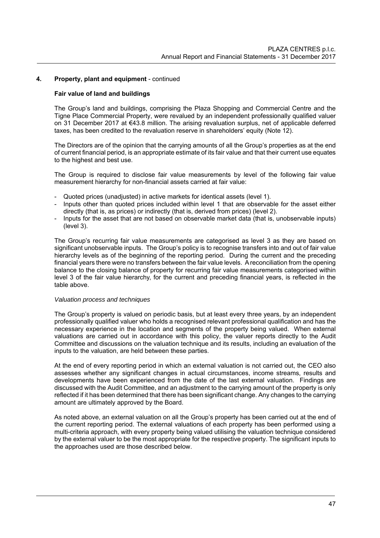#### **4. Property, plant and equipment** - continued

#### **Fair value of land and buildings**

The Group's land and buildings, comprising the Plaza Shopping and Commercial Centre and the Tigne Place Commercial Property, were revalued by an independent professionally qualified valuer on 31 December 2017 at €43.8 million. The arising revaluation surplus, net of applicable deferred taxes, has been credited to the revaluation reserve in shareholders' equity (Note 12).

The Directors are of the opinion that the carrying amounts of all the Group's properties as at the end of current financial period, is an appropriate estimate of its fair value and that their current use equates to the highest and best use.

The Group is required to disclose fair value measurements by level of the following fair value measurement hierarchy for non-financial assets carried at fair value:

- Quoted prices (unadjusted) in active markets for identical assets (level 1).
- Inputs other than quoted prices included within level 1 that are observable for the asset either directly (that is, as prices) or indirectly (that is, derived from prices) (level 2).
- Inputs for the asset that are not based on observable market data (that is, unobservable inputs) (level 3).

The Group's recurring fair value measurements are categorised as level 3 as they are based on significant unobservable inputs. The Group's policy is to recognise transfers into and out of fair value hierarchy levels as of the beginning of the reporting period. During the current and the preceding financial years there were no transfers between the fair value levels. A reconciliation from the opening balance to the closing balance of property for recurring fair value measurements categorised within level 3 of the fair value hierarchy, for the current and preceding financial years, is reflected in the table above.

#### *Valuation process and techniques*

The Group's property is valued on periodic basis, but at least every three years, by an independent professionally qualified valuer who holds a recognised relevant professional qualification and has the necessary experience in the location and segments of the property being valued. When external valuations are carried out in accordance with this policy, the valuer reports directly to the Audit Committee and discussions on the valuation technique and its results, including an evaluation of the inputs to the valuation, are held between these parties.

At the end of every reporting period in which an external valuation is not carried out, the CEO also assesses whether any significant changes in actual circumstances, income streams, results and developments have been experienced from the date of the last external valuation. Findings are discussed with the Audit Committee, and an adjustment to the carrying amount of the property is only reflected if it has been determined that there has been significant change. Any changes to the carrying amount are ultimately approved by the Board.

As noted above, an external valuation on all the Group's property has been carried out at the end of the current reporting period. The external valuations of each property has been performed using a multi-criteria approach, with every property being valued utilising the valuation technique considered by the external valuer to be the most appropriate for the respective property. The significant inputs to the approaches used are those described below.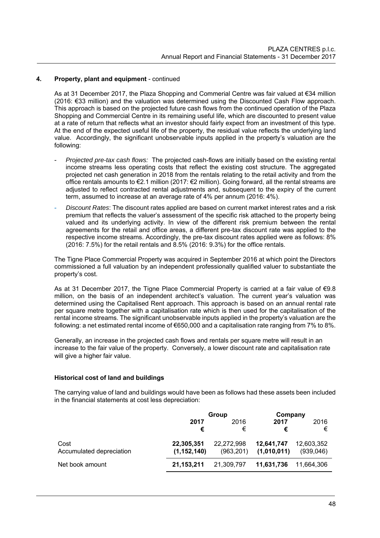## **4. Property, plant and equipment** - continued

As at 31 December 2017, the Plaza Shopping and Commerial Centre was fair valued at €34 million (2016: €33 million) and the valuation was determined using the Discounted Cash Flow approach. This approach is based on the projected future cash flows from the continued operation of the Plaza Shopping and Commercial Centre in its remaining useful life, which are discounted to present value at a rate of return that reflects what an investor should fairly expect from an investment of this type. At the end of the expected useful life of the property, the residual value reflects the underlying land value. Accordingly, the significant unobservable inputs applied in the property's valuation are the following:

- *Projected pre-tax cash flows:* The projected cash-flows are initially based on the existing rental income streams less operating costs that reflect the existing cost structure. The aggregated projected net cash generation in 2018 from the rentals relating to the retail activity and from the office rentals amounts to €2.1 million (2017: €2 million). Going forward, all the rental streams are adjusted to reflect contracted rental adjustments and, subsequent to the expiry of the current term, assumed to increase at an average rate of 4% per annum (2016: 4%).
- *Discount Rates*: The discount rates applied are based on current market interest rates and a risk premium that reflects the valuer's assessment of the specific risk attached to the property being valued and its underlying activity. In view of the different risk premium between the rental agreements for the retail and office areas, a different pre-tax discount rate was applied to the respective income streams. Accordingly, the pre-tax discount rates applied were as follows: 8% (2016: 7.5%) for the retail rentals and 8.5% (2016: 9.3%) for the office rentals.

The Tigne Place Commercial Property was acquired in September 2016 at which point the Directors commissioned a full valuation by an independent professionally qualified valuer to substantiate the property's cost.

As at 31 December 2017, the Tigne Place Commercial Property is carried at a fair value of  $\epsilon$ 9.8 million, on the basis of an independent architect's valuation. The current year's valuation was determined using the Capitalised Rent approach. This approach is based on an annual rental rate per square metre together with a capitalisation rate which is then used for the capitalisation of the rental income streams. The significant unobservable inputs applied in the property's valuation are the following: a net estimated rental income of €650,000 and a capitalisation rate ranging from 7% to 8%.

Generally, an increase in the projected cash flows and rentals per square metre will result in an increase to the fair value of the property. Conversely, a lower discount rate and capitalisation rate will give a higher fair value.

## **Historical cost of land and buildings**

The carrying value of land and buildings would have been as follows had these assets been included in the financial statements at cost less depreciation:

|                          | Group         |            | Company     |            |
|--------------------------|---------------|------------|-------------|------------|
|                          | 2017          | 2016       | 2017        | 2016       |
|                          | €             | €          | €           | €          |
| Cost                     | 22,305,351    | 22,272,998 | 12,641,747  | 12,603,352 |
| Accumulated depreciation | (1, 152, 140) | (963, 201) | (1,010,011) | (939,046)  |
| Net book amount          | 21,153,211    | 21,309,797 | 11,631,736  | 11.664.306 |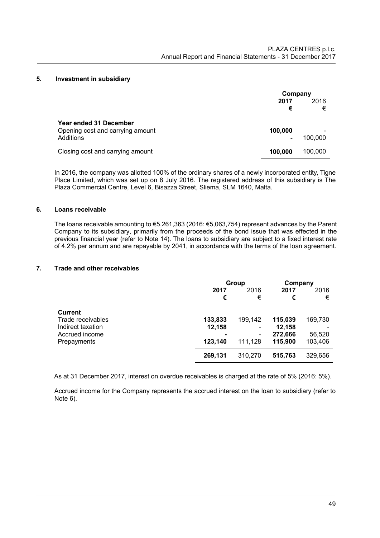#### **5. Investment in subsidiary**

|                                                                         | Company      |           |
|-------------------------------------------------------------------------|--------------|-----------|
|                                                                         | 2017<br>€    | 2016<br>€ |
| Year ended 31 December<br>Opening cost and carrying amount<br>Additions | 100,000<br>۰ | 100,000   |
| Closing cost and carrying amount                                        | 100,000      | 100,000   |

In 2016, the company was allotted 100% of the ordinary shares of a newly incorporated entity, Tigne Place Limited, which was set up on 8 July 2016. The registered address of this subsidiary is The Plaza Commercial Centre, Level 6, Bisazza Street, Sliema, SLM 1640, Malta.

#### **6. Loans receivable**

The loans receivable amounting to €5,261,363 (2016: €5,063,754) represent advances by the Parent Company to its subsidiary, primarily from the proceeds of the bond issue that was effected in the previous financial year (refer to Note 14). The loans to subsidiary are subject to a fixed interest rate of 4.2% per annum and are repayable by 2041, in accordance with the terms of the loan agreement.

# **7. Trade and other receivables**

|                   | Group   |                          | Company |         |
|-------------------|---------|--------------------------|---------|---------|
|                   | 2017    | 2016                     | 2017    | 2016    |
|                   | €       | €                        | €       | €       |
| <b>Current</b>    |         |                          |         |         |
| Trade receivables | 133,833 | 199,142                  | 115,039 | 169,730 |
| Indirect taxation | 12,158  |                          | 12,158  |         |
| Accrued income    |         | $\overline{\phantom{a}}$ | 272,666 | 56,520  |
| Prepayments       | 123,140 | 111,128                  | 115,900 | 103,406 |
|                   | 269,131 | 310,270                  | 515,763 | 329,656 |

As at 31 December 2017, interest on overdue receivables is charged at the rate of 5% (2016: 5%).

Accrued income for the Company represents the accrued interest on the loan to subsidiary (refer to Note 6).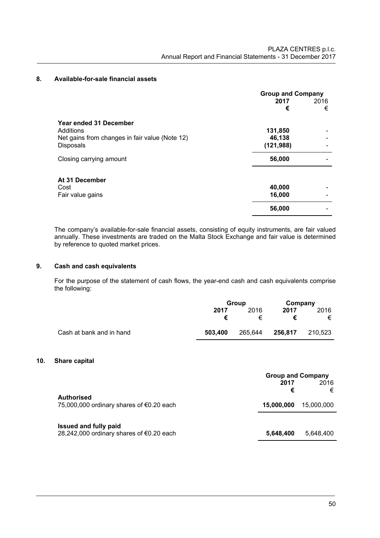## **8. Available-for-sale financial assets**

|                                                | <b>Group and Company</b> |      |  |
|------------------------------------------------|--------------------------|------|--|
|                                                | 2017                     | 2016 |  |
|                                                | €                        | €    |  |
| Year ended 31 December                         |                          |      |  |
| Additions                                      | 131,850                  |      |  |
| Net gains from changes in fair value (Note 12) | 46,138                   |      |  |
| Disposals                                      | (121, 988)               |      |  |
| Closing carrying amount                        | 56,000                   |      |  |
| At 31 December                                 |                          |      |  |
| Cost                                           | 40,000                   |      |  |
| Fair value gains                               | 16,000                   |      |  |
|                                                | 56,000                   |      |  |

The company's available-for-sale financial assets, consisting of equity instruments, are fair valued annually. These investments are traded on the Malta Stock Exchange and fair value is determined by reference to quoted market prices.

#### **9. Cash and cash equivalents**

 For the purpose of the statement of cash flows, the year-end cash and cash equivalents comprise the following:

|                          |         | Group   |         | Company |
|--------------------------|---------|---------|---------|---------|
|                          | 2017    | 2016    | 2017    | 2016    |
|                          | €       | €       |         | €       |
| Cash at bank and in hand | 503,400 | 265,644 | 256,817 | 210.523 |

#### **10. Share capital**

|                                                                          | <b>Group and Company</b><br>2017 | 2016            |
|--------------------------------------------------------------------------|----------------------------------|-----------------|
| <b>Authorised</b><br>75,000,000 ordinary shares of $\epsilon$ 0.20 each  | €<br>15,000,000                  | €<br>15,000,000 |
| <b>Issued and fully paid</b><br>28,242,000 ordinary shares of €0.20 each | 5,648,400                        | 5.648.400       |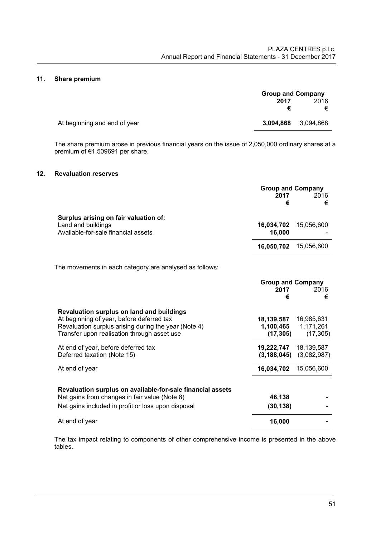#### **11. Share premium**

|                              | <b>Group and Company</b> |           |
|------------------------------|--------------------------|-----------|
|                              | 2017                     | 2016<br>€ |
| At beginning and end of year | 3.094.868                | 3,094,868 |

The share premium arose in previous financial years on the issue of 2,050,000 ordinary shares at a premium of €1.509691 per share.

# **12. Revaluation reserves**

|                                                                                                                                                                                               | <b>Group and Company</b><br>2017<br>€ | 2016<br>€                            |
|-----------------------------------------------------------------------------------------------------------------------------------------------------------------------------------------------|---------------------------------------|--------------------------------------|
| Surplus arising on fair valuation of:<br>Land and buildings<br>Available-for-sale financial assets                                                                                            | 16,034,702<br>16,000                  | 15,056,600                           |
|                                                                                                                                                                                               | 16,050,702                            | 15,056,600                           |
| The movements in each category are analysed as follows:                                                                                                                                       |                                       |                                      |
|                                                                                                                                                                                               | <b>Group and Company</b><br>2017<br>€ | 2016<br>€                            |
| Revaluation surplus on land and buildings<br>At beginning of year, before deferred tax<br>Revaluation surplus arising during the year (Note 4)<br>Transfer upon realisation through asset use | 18,139,587<br>1,100,465<br>(17, 305)  | 16,985,631<br>1,171,261<br>(17, 305) |
| At end of year, before deferred tax<br>Deferred taxation (Note 15)                                                                                                                            | 19,222,747<br>(3, 188, 045)           | 18,139,587<br>(3,082,987)            |
| At end of year                                                                                                                                                                                | 16,034,702                            | 15,056,600                           |
| Revaluation surplus on available-for-sale financial assets<br>Net gains from changes in fair value (Note 8)<br>Net gains included in profit or loss upon disposal                             | 46,138<br>(30, 138)                   |                                      |
| At end of year                                                                                                                                                                                | 16,000                                |                                      |

The tax impact relating to components of other comprehensive income is presented in the above tables.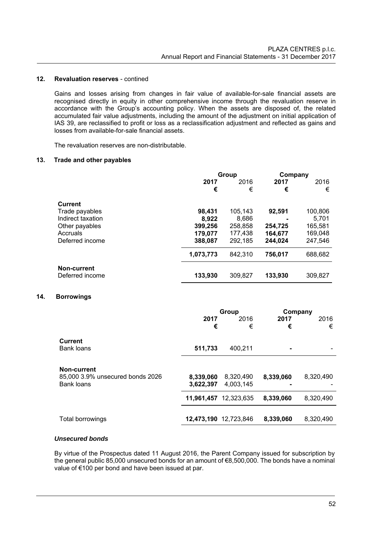#### **12. Revaluation reserves** - contined

Gains and losses arising from changes in fair value of available-for-sale financial assets are recognised directly in equity in other comprehensive income through the revaluation reserve in accordance with the Group's accounting policy. When the assets are disposed of, the related accumulated fair value adjustments, including the amount of the adjustment on initial application of IAS 39, are reclassified to profit or loss as a reclassification adjustment and reflected as gains and losses from available-for-sale financial assets.

The revaluation reserves are non-distributable.

#### **13. Trade and other payables**

|                   | Group     |         | Company |         |
|-------------------|-----------|---------|---------|---------|
|                   | 2017      | 2016    | 2017    | 2016    |
|                   | €         | €       | €       | €       |
| <b>Current</b>    |           |         |         |         |
| Trade payables    | 98.431    | 105,143 | 92,591  | 100,806 |
| Indirect taxation | 8.922     | 8,686   |         | 5,701   |
| Other payables    | 399,256   | 258,858 | 254,725 | 165,581 |
| Accruals          | 179,077   | 177,438 | 164,677 | 169,048 |
| Deferred income   | 388,087   | 292,185 | 244.024 | 247.546 |
|                   | 1,073,773 | 842.310 | 756,017 | 688,682 |
| Non-current       |           |         |         |         |
| Deferred income   | 133,930   | 309,827 | 133.930 | 309.827 |

## **14. Borrowings**

|                                                                      | 2017<br>€              | Group<br>2016<br>€     | 2017<br>€ | Company<br>2016<br>€ |
|----------------------------------------------------------------------|------------------------|------------------------|-----------|----------------------|
| <b>Current</b><br>Bank loans                                         | 511,733                | 400.211                |           |                      |
| <b>Non-current</b><br>85,000 3.9% unsecured bonds 2026<br>Bank loans | 8,339,060<br>3,622,397 | 8,320,490<br>4,003,145 | 8,339,060 | 8,320,490            |
|                                                                      |                        | 11,961,457 12,323,635  | 8,339,060 | 8,320,490            |
| Total borrowings                                                     |                        | 12,473,190 12,723,846  | 8,339,060 | 8,320,490            |

#### *Unsecured bonds*

By virtue of the Prospectus dated 11 August 2016, the Parent Company issued for subscription by the general public 85,000 unsecured bonds for an amount of €8,500,000. The bonds have a nominal value of €100 per bond and have been issued at par.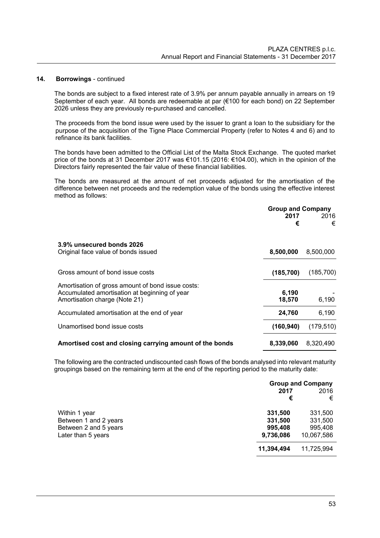#### **14. Borrowings** - continued

The bonds are subject to a fixed interest rate of 3.9% per annum payable annually in arrears on 19 September of each year. All bonds are redeemable at par (€100 for each bond) on 22 September 2026 unless they are previously re-purchased and cancelled.

The proceeds from the bond issue were used by the issuer to grant a loan to the subsidiary for the purpose of the acquisition of the Tigne Place Commercial Property (refer to Notes 4 and 6) and to refinance its bank facilities.

The bonds have been admitted to the Official List of the Malta Stock Exchange. The quoted market price of the bonds at 31 December 2017 was €101.15 (2016: €104.00), which in the opinion of the Directors fairly represented the fair value of these financial liabilities.

The bonds are measured at the amount of net proceeds adjusted for the amortisation of the difference between net proceeds and the redemption value of the bonds using the effective interest method as follows:

|                                                                                | <b>Group and Company</b> |            |
|--------------------------------------------------------------------------------|--------------------------|------------|
|                                                                                | 2017                     | 2016       |
|                                                                                | €                        | €          |
| 3.9% unsecured bonds 2026                                                      |                          |            |
| Original face value of bonds issued                                            | 8,500,000                | 8,500,000  |
| Gross amount of bond issue costs                                               | (185, 700)               | (185,700)  |
| Amortisation of gross amount of bond issue costs:                              |                          |            |
| Accumulated amortisation at beginning of year<br>Amortisation charge (Note 21) | 6,190<br>18,570          | 6,190      |
| Accumulated amortisation at the end of year                                    | 24,760                   | 6,190      |
| Unamortised bond issue costs                                                   | (160, 940)               | (179, 510) |
| Amortised cost and closing carrying amount of the bonds                        | 8,339,060                | 8,320,490  |

The following are the contracted undiscounted cash flows of the bonds analysed into relevant maturity groupings based on the remaining term at the end of the reporting period to the maturity date:

|                                                                                       |                                            | <b>Group and Company</b>                    |  |
|---------------------------------------------------------------------------------------|--------------------------------------------|---------------------------------------------|--|
|                                                                                       | 2017<br>€                                  | 2016<br>€                                   |  |
| Within 1 year<br>Between 1 and 2 years<br>Between 2 and 5 years<br>Later than 5 years | 331,500<br>331,500<br>995,408<br>9,736,086 | 331,500<br>331,500<br>995,408<br>10,067,586 |  |
|                                                                                       | 11,394,494                                 | 11,725,994                                  |  |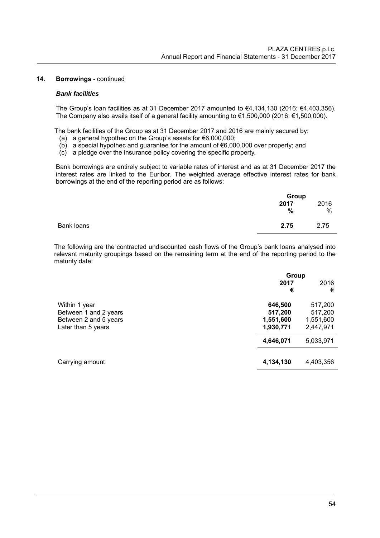#### **14. Borrowings** - continued

#### *Bank facilities*

The Group's loan facilities as at 31 December 2017 amounted to €4,134,130 (2016: €4,403,356). The Company also avails itself of a general facility amounting to €1,500,000 (2016: €1,500,000).

The bank facilities of the Group as at 31 December 2017 and 2016 are mainly secured by:

- (a) a general hypothec on the Group's assets for €6,000,000;
- (b) a special hypothec and guarantee for the amount of  $\epsilon$ 6,000,000 over property; and
- (c) a pledge over the insurance policy covering the specific property.

Bank borrowings are entirely subject to variable rates of interest and as at 31 December 2017 the interest rates are linked to the Euribor. The weighted average effective interest rates for bank borrowings at the end of the reporting period are as follows:

|            | Group |      |  |
|------------|-------|------|--|
|            | 2017  | 2016 |  |
|            | $\%$  | $\%$ |  |
| Bank loans | 2.75  | 2.75 |  |
|            |       |      |  |

The following are the contracted undiscounted cash flows of the Group's bank loans analysed into relevant maturity groupings based on the remaining term at the end of the reporting period to the maturity date:

|                                                                                       | Group                                                     |                                                           |  |
|---------------------------------------------------------------------------------------|-----------------------------------------------------------|-----------------------------------------------------------|--|
|                                                                                       | 2017<br>€                                                 | 2016<br>€                                                 |  |
| Within 1 year<br>Between 1 and 2 years<br>Between 2 and 5 years<br>Later than 5 years | 646,500<br>517,200<br>1,551,600<br>1,930,771<br>4,646,071 | 517,200<br>517,200<br>1,551,600<br>2,447,971<br>5,033,971 |  |
| Carrying amount                                                                       | 4,134,130                                                 | 4,403,356                                                 |  |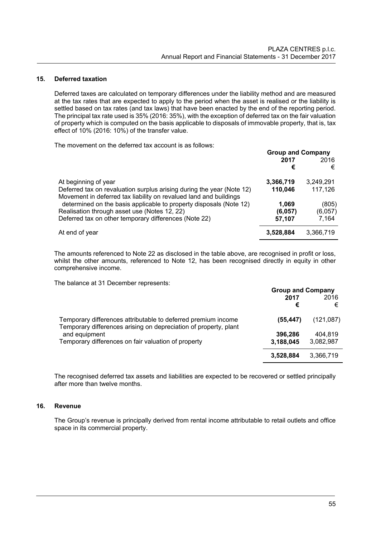#### **15. Deferred taxation**

Deferred taxes are calculated on temporary differences under the liability method and are measured at the tax rates that are expected to apply to the period when the asset is realised or the liability is settled based on tax rates (and tax laws) that have been enacted by the end of the reporting period. The principal tax rate used is 35% (2016: 35%), with the exception of deferred tax on the fair valuation of property which is computed on the basis applicable to disposals of immovable property, that is, tax effect of 10% (2016: 10%) of the transfer value.

The movement on the deferred tax account is as follows:

|                                                                       | <b>Group and Company</b> |           |  |
|-----------------------------------------------------------------------|--------------------------|-----------|--|
|                                                                       | 2017                     | 2016      |  |
|                                                                       | €                        | €         |  |
| At beginning of year                                                  | 3,366,719                | 3,249,291 |  |
| Deferred tax on revaluation surplus arising during the year (Note 12) | 110,046                  | 117,126   |  |
| Movement in deferred tax liability on revalued land and buildings     |                          |           |  |
| determined on the basis applicable to property disposals (Note 12)    | 1,069                    | (805)     |  |
| Realisation through asset use (Notes 12, 22)                          | (6,057)                  | (6,057)   |  |
| Deferred tax on other temporary differences (Note 22)                 | 57,107                   | 7,164     |  |
| At end of year                                                        | 3,528,884                | 3,366,719 |  |

The amounts referenced to Note 22 as disclosed in the table above, are recognised in profit or loss, whilst the other amounts, referenced to Note 12, has been recognised directly in equity in other comprehensive income.

The balance at 31 December represents:

|                                                                                                                                   | <b>Group and Company</b> |           |
|-----------------------------------------------------------------------------------------------------------------------------------|--------------------------|-----------|
|                                                                                                                                   | 2017<br>€                | 2016<br>€ |
| Temporary differences attributable to deferred premium income<br>Temporary differences arising on depreciation of property, plant | (55, 447)                | (121,087) |
| and equipment                                                                                                                     | 396,286                  | 404.819   |
| Temporary differences on fair valuation of property                                                                               | 3,188,045                | 3,082,987 |
|                                                                                                                                   | 3,528,884                | 3,366,719 |

 The recognised deferred tax assets and liabilities are expected to be recovered or settled principally after more than twelve months.

## **16. Revenue**

The Group's revenue is principally derived from rental income attributable to retail outlets and office space in its commercial property.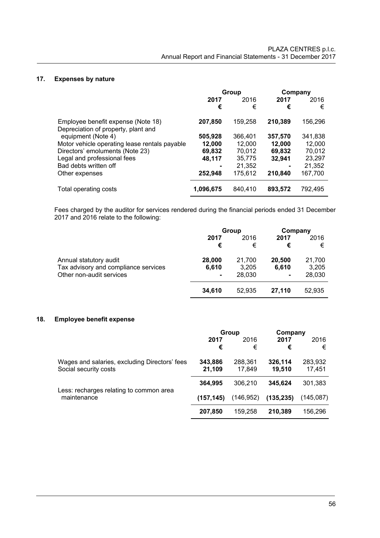# **17. Expenses by nature**

|                                                                           | Group     |           | Company   |           |
|---------------------------------------------------------------------------|-----------|-----------|-----------|-----------|
|                                                                           | 2017<br>€ | 2016<br>€ | 2017<br>€ | 2016<br>€ |
| Employee benefit expense (Note 18)<br>Depreciation of property, plant and | 207.850   | 159,258   | 210.389   | 156,296   |
| equipment (Note 4)                                                        | 505,928   | 366,401   | 357,570   | 341,838   |
| Motor vehicle operating lease rentals payable                             | 12,000    | 12,000    | 12,000    | 12,000    |
| Directors' emoluments (Note 23)                                           | 69,832    | 70.012    | 69,832    | 70,012    |
| Legal and professional fees                                               | 48,117    | 35,775    | 32.941    | 23.297    |
| Bad debts written off                                                     |           | 21,352    |           | 21,352    |
| Other expenses                                                            | 252,948   | 175,612   | 210,840   | 167,700   |
| Total operating costs                                                     | 1,096,675 | 840.410   | 893.572   | 792.495   |

Fees charged by the auditor for services rendered during the financial periods ended 31 December 2017 and 2016 relate to the following:

|                                      |        | Group  | Company |        |
|--------------------------------------|--------|--------|---------|--------|
|                                      | 2017   | 2016   | 2017    | 2016   |
|                                      | €      | €      | €       | €      |
| Annual statutory audit               | 28,000 | 21,700 | 20,500  | 21,700 |
| Tax advisory and compliance services | 6,610  | 3,205  | 6,610   | 3,205  |
| Other non-audit services             |        | 28,030 | ۰       | 28,030 |
|                                      | 34,610 | 52,935 | 27.110  | 52,935 |

# **18. Employee benefit expense**

|                                               | Group      |            | Company    |           |
|-----------------------------------------------|------------|------------|------------|-----------|
|                                               | 2017       | 2016       | 2017       | 2016      |
|                                               | €          | €          | €          | €         |
| Wages and salaries, excluding Directors' fees | 343,886    | 288,361    | 326,114    | 283,932   |
| Social security costs                         | 21,109     | 17.849     | 19.510     | 17.451    |
|                                               | 364,995    | 306,210    | 345,624    | 301,383   |
| Less: recharges relating to common area       |            |            |            |           |
| maintenance                                   | (157, 145) | (146, 952) | (135, 235) | (145.087) |
|                                               | 207,850    | 159.258    | 210.389    | 156,296   |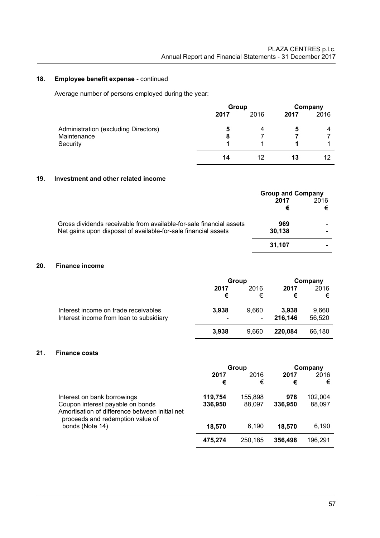# **18. Employee benefit expense** - continued

Average number of persons employed during the year:

|                                      | Group |      | Company |      |
|--------------------------------------|-------|------|---------|------|
|                                      | 2017  | 2016 | 2017    | 2016 |
| Administration (excluding Directors) | 5     | 4    | 5       | 4    |
| Maintenance                          | 8     |      |         |      |
| Security                             |       |      |         |      |
|                                      | 14    | 12   | 13      | 12   |

# **19. Investment and other related income**

|                                                                     | <b>Group and Company</b> |      |  |
|---------------------------------------------------------------------|--------------------------|------|--|
|                                                                     | 2017                     | 2016 |  |
|                                                                     | €                        | €    |  |
| Gross dividends receivable from available-for-sale financial assets | 969                      |      |  |
| Net gains upon disposal of available-for-sale financial assets      | 30.138                   |      |  |
|                                                                     | 31.107                   |      |  |

# **20. Finance income**

|                                         | Group          |                          |         | Company |
|-----------------------------------------|----------------|--------------------------|---------|---------|
|                                         | 2017           | 2016                     | 2017    | 2016    |
|                                         | €              | €                        | €       | €       |
| Interest income on trade receivables    | 3,938          | 9.660                    | 3.938   | 9,660   |
| Interest income from loan to subsidiary | $\blacksquare$ | $\overline{\phantom{a}}$ | 216,146 | 56,520  |
|                                         | 3,938          | 9.660                    | 220.084 | 66,180  |

# **21. Finance costs**

|                                                                                                                                                       | Group              |                   | Company        |                   |
|-------------------------------------------------------------------------------------------------------------------------------------------------------|--------------------|-------------------|----------------|-------------------|
|                                                                                                                                                       | 2017<br>€          | 2016<br>€         | 2017<br>€      | 2016<br>€         |
| Interest on bank borrowings<br>Coupon interest payable on bonds<br>Amortisation of difference between initial net<br>proceeds and redemption value of | 119,754<br>336,950 | 155,898<br>88.097 | 978<br>336,950 | 102.004<br>88,097 |
| bonds (Note 14)                                                                                                                                       | 18,570             | 6.190             | 18.570         | 6,190             |
|                                                                                                                                                       | 475,274            | 250,185           | 356,498        | 196,291           |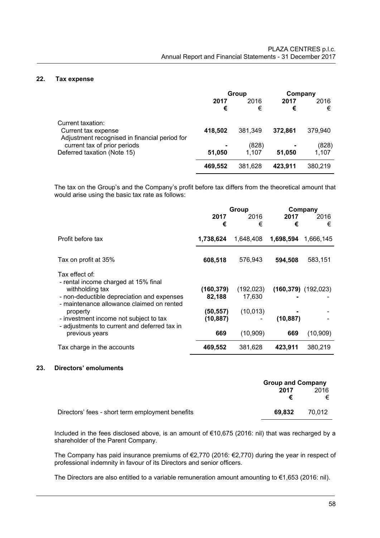#### **22. Tax expense**

|                                                                                           | Group     |                | Company   |                |
|-------------------------------------------------------------------------------------------|-----------|----------------|-----------|----------------|
|                                                                                           | 2017<br>€ | 2016<br>€      | 2017<br>€ | 2016<br>€      |
| Current taxation:<br>Current tax expense<br>Adjustment recognised in financial period for | 418,502   | 381.349        | 372.861   | 379,940        |
| current tax of prior periods<br>Deferred taxation (Note 15)                               | 51,050    | (828)<br>1.107 | 51,050    | (828)<br>1,107 |
|                                                                                           | 469,552   | 381,628        | 423.911   | 380,219        |

The tax on the Group's and the Company's profit before tax differs from the theoretical amount that would arise using the basic tax rate as follows:

|                                                                                                                                                 | Group                 |                      | Company   |                           |
|-------------------------------------------------------------------------------------------------------------------------------------------------|-----------------------|----------------------|-----------|---------------------------|
|                                                                                                                                                 | 2017<br>€             | 2016<br>€            | 2017<br>€ | 2016<br>€                 |
| Profit before tax                                                                                                                               | 1,738,624             | 1,648,408            | 1,698,594 | 1,666,145                 |
| Tax on profit at 35%                                                                                                                            | 608,518               | 576,943              | 594,508   | 583,151                   |
| Tax effect of:<br>- rental income charged at 15% final<br>withholding tax<br>- non-deductible depreciation and expenses                         | (160,379)<br>82,188   | (192, 023)<br>17,630 |           | $(160, 379)$ $(192, 023)$ |
| - maintenance allowance claimed on rented<br>property<br>- investment income not subject to tax<br>- adjustments to current and deferred tax in | (50,557)<br>(10, 887) | (10, 013)            | (10, 887) |                           |
| previous years                                                                                                                                  | 669                   | (10, 909)            | 669       | (10, 909)                 |
| Tax charge in the accounts                                                                                                                      | 469,552               | 381,628              | 423,911   | 380,219                   |

#### **23. Directors' emoluments**

|                                                  | <b>Group and Company</b> |        |  |
|--------------------------------------------------|--------------------------|--------|--|
|                                                  | 2017                     | 2016   |  |
|                                                  | €                        | €      |  |
| Directors' fees - short term employment benefits | 69.832                   | 70.012 |  |

Included in the fees disclosed above, is an amount of €10,675 (2016: nil) that was recharged by a shareholder of the Parent Company.

The Company has paid insurance premiums of €2,770 (2016: €2,770) during the year in respect of professional indemnity in favour of its Directors and senior officers.

The Directors are also entitled to a variable remuneration amount amounting to €1,653 (2016: nil).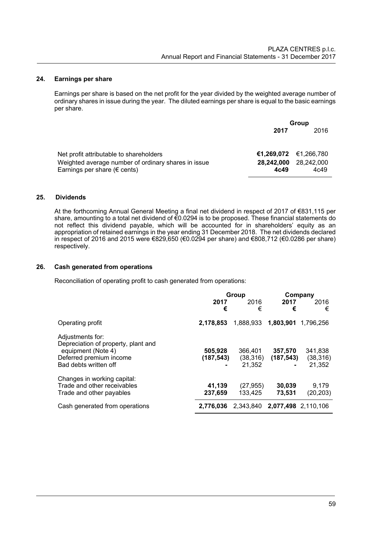## **24. Earnings per share**

Earnings per share is based on the net profit for the year divided by the weighted average number of ordinary shares in issue during the year. The diluted earnings per share is equal to the basic earnings per share.

|                                                                                               | Group                 |                    |  |
|-----------------------------------------------------------------------------------------------|-----------------------|--------------------|--|
|                                                                                               | 2017                  | 2016               |  |
|                                                                                               |                       |                    |  |
| Net profit attributable to shareholders                                                       | €1,269,072 €1,266,780 |                    |  |
| Weighted average number of ordinary shares in issue<br>Earnings per share ( $\epsilon$ cents) | 28,242,000<br>4c49    | 28,242,000<br>4c49 |  |

# **25. Dividends**

At the forthcoming Annual General Meeting a final net dividend in respect of 2017 of €831,115 per share, amounting to a total net dividend of €0.0294 is to be proposed. These financial statements do not reflect this dividend payable, which will be accounted for in shareholders' equity as an appropriation of retained earnings in the year ending 31 December 2018. The net dividends declared in respect of 2016 and 2015 were €829,650 (€0.0294 per share) and €808,712 (€0.0286 per share) respectively.

# **26. Cash generated from operations**

Reconciliation of operating profit to cash generated from operations:

|                                                                                                                                   |                      | Group                          | Company               |                                |
|-----------------------------------------------------------------------------------------------------------------------------------|----------------------|--------------------------------|-----------------------|--------------------------------|
|                                                                                                                                   | 2017<br>€            | 2016<br>€                      | 2017<br>€             | 2016<br>€                      |
| Operating profit                                                                                                                  | 2,178,853            | 1,888,933                      | 1,803,901             | 1.796.256                      |
| Adjustments for:<br>Depreciation of property, plant and<br>equipment (Note 4)<br>Deferred premium income<br>Bad debts written off | 505,928<br>(187,543) | 366,401<br>(38, 316)<br>21,352 | 357,570<br>(187, 543) | 341,838<br>(38, 316)<br>21,352 |
| Changes in working capital:<br>Trade and other receivables<br>Trade and other payables                                            | 41,139<br>237,659    | (27, 955)<br>133.425           | 30,039<br>73,531      | 9,179<br>(20, 203)             |
| Cash generated from operations                                                                                                    | 2.776.036            | 2.343.840                      | 2.077.498 2.110.106   |                                |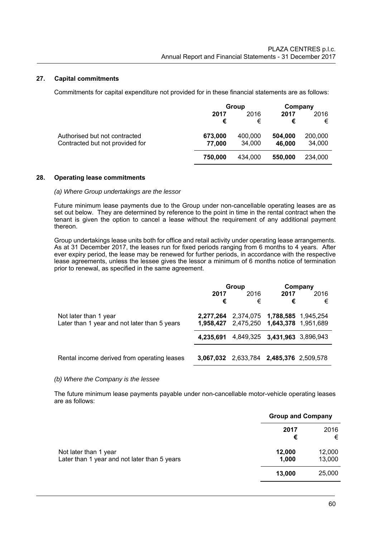## **27. Capital commitments**

Commitments for capital expenditure not provided for in these financial statements are as follows:

|                                 |         | Group   | Company |         |
|---------------------------------|---------|---------|---------|---------|
|                                 | 2017    | 2016    | 2017    | 2016    |
|                                 | €       | €       | €       | €       |
| Authorised but not contracted   | 673,000 | 400,000 | 504,000 | 200,000 |
| Contracted but not provided for | 77,000  | 34,000  | 46,000  | 34,000  |
|                                 | 750,000 | 434.000 | 550,000 | 234,000 |
|                                 |         |         |         |         |

# **28. Operating lease commitments**

#### *(a) Where Group undertakings are the lessor*

 Future minimum lease payments due to the Group under non-cancellable operating leases are as set out below. They are determined by reference to the point in time in the rental contract when the tenant is given the option to cancel a lease without the requirement of any additional payment thereon.

 Group undertakings lease units both for office and retail activity under operating lease arrangements. As at 31 December 2017, the leases run for fixed periods ranging from 6 months to 4 years. After ever expiry period, the lease may be renewed for further periods, in accordance with the respective lease agreements, unless the lessee gives the lessor a minimum of 6 months notice of termination prior to renewal, as specified in the same agreement.

|                                              | Group |                                         | Company |      |
|----------------------------------------------|-------|-----------------------------------------|---------|------|
|                                              | 2017  | 2016                                    | 2017    | 2016 |
|                                              | €     | €                                       | €       | €    |
| Not later than 1 year                        |       | 2,277,264 2,374,075 1,788,585 1,945,254 |         |      |
| Later than 1 year and not later than 5 years |       | 1,958,427 2,475,250 1,643,378 1,951,689 |         |      |
|                                              |       | 4,235,691 4,849,325 3,431,963 3,896,943 |         |      |
|                                              |       |                                         |         |      |
| Rental income derived from operating leases  |       | 3,067,032 2,633,784 2,485,376 2,509,578 |         |      |

#### *(b) Where the Company is the lessee*

 The future minimum lease payments payable under non-cancellable motor-vehicle operating leases are as follows:

|                                                                       |                 | <b>Group and Company</b> |  |
|-----------------------------------------------------------------------|-----------------|--------------------------|--|
|                                                                       | 2017<br>€       | 2016<br>€                |  |
| Not later than 1 year<br>Later than 1 year and not later than 5 years | 12,000<br>1,000 | 12,000<br>13,000         |  |
|                                                                       | 13,000          | 25,000                   |  |